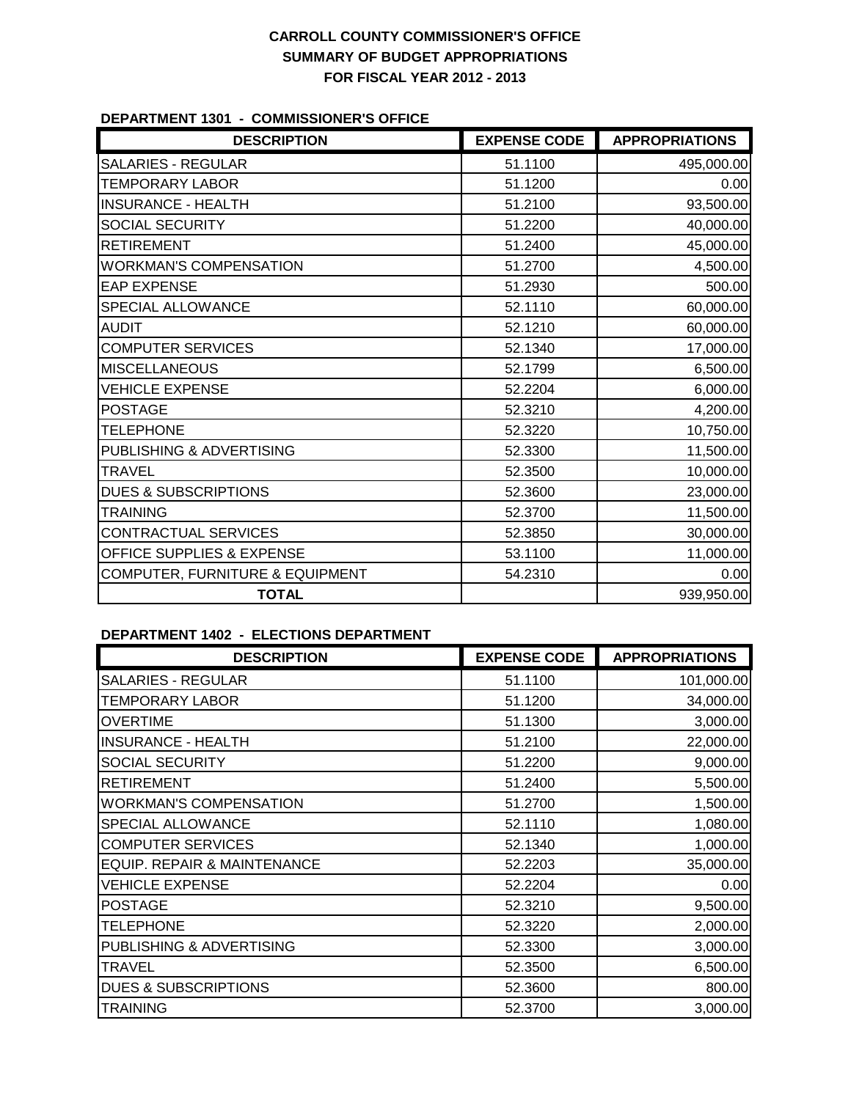## **CARROLL COUNTY COMMISSIONER'S OFFICE SUMMARY OF BUDGET APPROPRIATIONS FOR FISCAL YEAR 2012 - 2013**

#### **DEPARTMENT 1301 - COMMISSIONER'S OFFICE**

| <b>DESCRIPTION</b>                   | <b>EXPENSE CODE</b> | <b>APPROPRIATIONS</b> |
|--------------------------------------|---------------------|-----------------------|
| <b>SALARIES - REGULAR</b>            | 51.1100             | 495,000.00            |
| <b>TEMPORARY LABOR</b>               | 51.1200             | 0.00                  |
| <b>INSURANCE - HEALTH</b>            | 51.2100             | 93,500.00             |
| SOCIAL SECURITY                      | 51.2200             | 40,000.00             |
| <b>RETIREMENT</b>                    | 51.2400             | 45,000.00             |
| <b>WORKMAN'S COMPENSATION</b>        | 51.2700             | 4,500.00              |
| <b>EAP EXPENSE</b>                   | 51.2930             | 500.00                |
| SPECIAL ALLOWANCE                    | 52.1110             | 60,000.00             |
| <b>AUDIT</b>                         | 52.1210             | 60,000.00             |
| <b>COMPUTER SERVICES</b>             | 52.1340             | 17,000.00             |
| <b>MISCELLANEOUS</b>                 | 52.1799             | 6,500.00              |
| <b>VEHICLE EXPENSE</b>               | 52.2204             | 6,000.00              |
| <b>POSTAGE</b>                       | 52.3210             | 4,200.00              |
| <b>TELEPHONE</b>                     | 52.3220             | 10,750.00             |
| PUBLISHING & ADVERTISING             | 52.3300             | 11,500.00             |
| <b>TRAVEL</b>                        | 52.3500             | 10,000.00             |
| <b>DUES &amp; SUBSCRIPTIONS</b>      | 52.3600             | 23,000.00             |
| <b>TRAINING</b>                      | 52.3700             | 11,500.00             |
| CONTRACTUAL SERVICES                 | 52.3850             | 30,000.00             |
| <b>OFFICE SUPPLIES &amp; EXPENSE</b> | 53.1100             | 11,000.00             |
| COMPUTER, FURNITURE & EQUIPMENT      | 54.2310             | 0.00                  |
| <b>TOTAL</b>                         |                     | 939,950.00            |

### **DEPARTMENT 1402 - ELECTIONS DEPARTMENT**

| <b>DESCRIPTION</b>              | <b>EXPENSE CODE</b> | <b>APPROPRIATIONS</b> |
|---------------------------------|---------------------|-----------------------|
| <b>SALARIES - REGULAR</b>       | 51.1100             | 101,000.00            |
| <b>TEMPORARY LABOR</b>          | 51.1200             | 34,000.00             |
| <b>OVERTIME</b>                 | 51.1300             | 3,000.00              |
| <b>INSURANCE - HEALTH</b>       | 51.2100             | 22,000.00             |
| SOCIAL SECURITY                 | 51.2200             | 9,000.00              |
| <b>RETIREMENT</b>               | 51.2400             | 5,500.00              |
| <b>WORKMAN'S COMPENSATION</b>   | 51.2700             | 1,500.00              |
| SPECIAL ALLOWANCE               | 52.1110             | 1,080.00              |
| <b>COMPUTER SERVICES</b>        | 52.1340             | 1,000.00              |
| EQUIP. REPAIR & MAINTENANCE     | 52.2203             | 35,000.00             |
| <b>VEHICLE EXPENSE</b>          | 52.2204             | 0.00                  |
| <b>POSTAGE</b>                  | 52.3210             | 9,500.00              |
| <b>TELEPHONE</b>                | 52.3220             | 2,000.00              |
| PUBLISHING & ADVERTISING        | 52.3300             | 3,000.00              |
| <b>TRAVEL</b>                   | 52.3500             | 6,500.00              |
| <b>DUES &amp; SUBSCRIPTIONS</b> | 52.3600             | 800.00                |
| <b>TRAINING</b>                 | 52.3700             | 3,000.00              |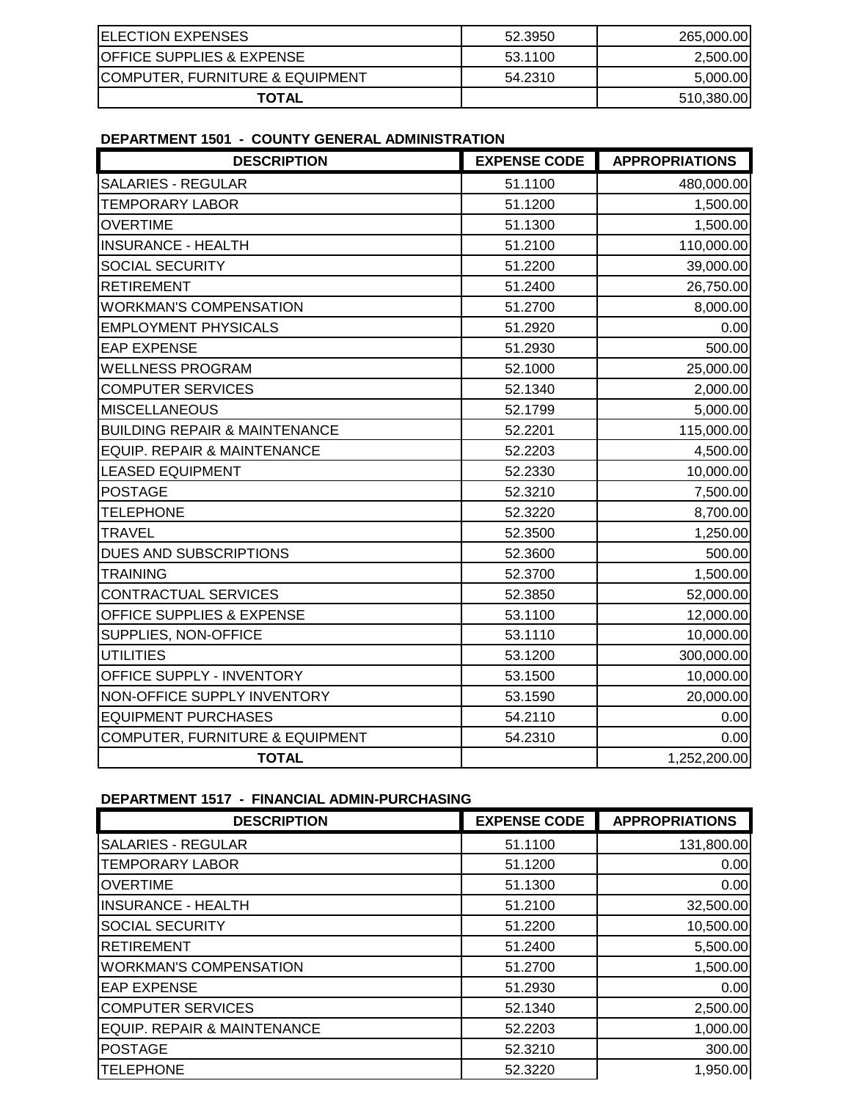| <b>ELECTION EXPENSES</b>             | 52.3950 | 265,000.00 |
|--------------------------------------|---------|------------|
| <b>OFFICE SUPPLIES &amp; EXPENSE</b> | 53.1100 | 2,500.00   |
| COMPUTER, FURNITURE & EQUIPMENT      | 54.2310 | 5,000.00   |
| <b>TOTAL</b>                         |         | 510,380.00 |

### **DEPARTMENT 1501 - COUNTY GENERAL ADMINISTRATION**

| <b>DESCRIPTION</b>                         | <b>EXPENSE CODE</b> | <b>APPROPRIATIONS</b> |
|--------------------------------------------|---------------------|-----------------------|
| <b>SALARIES - REGULAR</b>                  | 51.1100             | 480,000.00            |
| <b>TEMPORARY LABOR</b>                     | 51.1200             | 1,500.00              |
| <b>OVERTIME</b>                            | 51.1300             | 1,500.00              |
| <b>INSURANCE - HEALTH</b>                  | 51.2100             | 110,000.00            |
| <b>SOCIAL SECURITY</b>                     | 51.2200             | 39,000.00             |
| <b>RETIREMENT</b>                          | 51.2400             | 26,750.00             |
| <b>WORKMAN'S COMPENSATION</b>              | 51.2700             | 8,000.00              |
| <b>EMPLOYMENT PHYSICALS</b>                | 51.2920             | 0.00                  |
| <b>EAP EXPENSE</b>                         | 51.2930             | 500.00                |
| <b>WELLNESS PROGRAM</b>                    | 52.1000             | 25,000.00             |
| <b>COMPUTER SERVICES</b>                   | 52.1340             | 2,000.00              |
| <b>MISCELLANEOUS</b>                       | 52.1799             | 5,000.00              |
| <b>BUILDING REPAIR &amp; MAINTENANCE</b>   | 52.2201             | 115,000.00            |
| EQUIP. REPAIR & MAINTENANCE                | 52.2203             | 4,500.00              |
| <b>LEASED EQUIPMENT</b>                    | 52.2330             | 10,000.00             |
| <b>POSTAGE</b>                             | 52.3210             | 7,500.00              |
| <b>TELEPHONE</b>                           | 52.3220             | 8,700.00              |
| <b>TRAVEL</b>                              | 52.3500             | 1,250.00              |
| DUES AND SUBSCRIPTIONS                     | 52.3600             | 500.00                |
| <b>TRAINING</b>                            | 52.3700             | 1,500.00              |
| CONTRACTUAL SERVICES                       | 52.3850             | 52,000.00             |
| OFFICE SUPPLIES & EXPENSE                  | 53.1100             | 12,000.00             |
| SUPPLIES, NON-OFFICE                       | 53.1110             | 10,000.00             |
| <b>UTILITIES</b>                           | 53.1200             | 300,000.00            |
| OFFICE SUPPLY - INVENTORY                  | 53.1500             | 10,000.00             |
| NON-OFFICE SUPPLY INVENTORY                | 53.1590             | 20,000.00             |
| <b>EQUIPMENT PURCHASES</b>                 | 54.2110             | 0.00                  |
| <b>COMPUTER, FURNITURE &amp; EQUIPMENT</b> | 54.2310             | 0.00                  |
| <b>TOTAL</b>                               |                     | 1,252,200.00          |

### **DEPARTMENT 1517 - FINANCIAL ADMIN-PURCHASING**

| <b>DESCRIPTION</b>            | <b>EXPENSE CODE</b> | <b>APPROPRIATIONS</b> |
|-------------------------------|---------------------|-----------------------|
| <b>SALARIES - REGULAR</b>     | 51.1100             | 131,800.00            |
| <b>TEMPORARY LABOR</b>        | 51.1200             | 0.00                  |
| <b>OVERTIME</b>               | 51.1300             | 0.00                  |
| <b>INSURANCE - HEALTH</b>     | 51.2100             | 32,500.00             |
| <b>SOCIAL SECURITY</b>        | 51.2200             | 10,500.00             |
| <b>RETIREMENT</b>             | 51.2400             | 5,500.00              |
| <b>WORKMAN'S COMPENSATION</b> | 51.2700             | 1,500.00              |
| <b>EAP EXPENSE</b>            | 51.2930             | 0.00                  |
| <b>COMPUTER SERVICES</b>      | 52.1340             | 2,500.00              |
| EQUIP. REPAIR & MAINTENANCE   | 52.2203             | 1,000.00              |
| <b>POSTAGE</b>                | 52.3210             | 300.00                |
| <b>TELEPHONE</b>              | 52.3220             | 1,950.00              |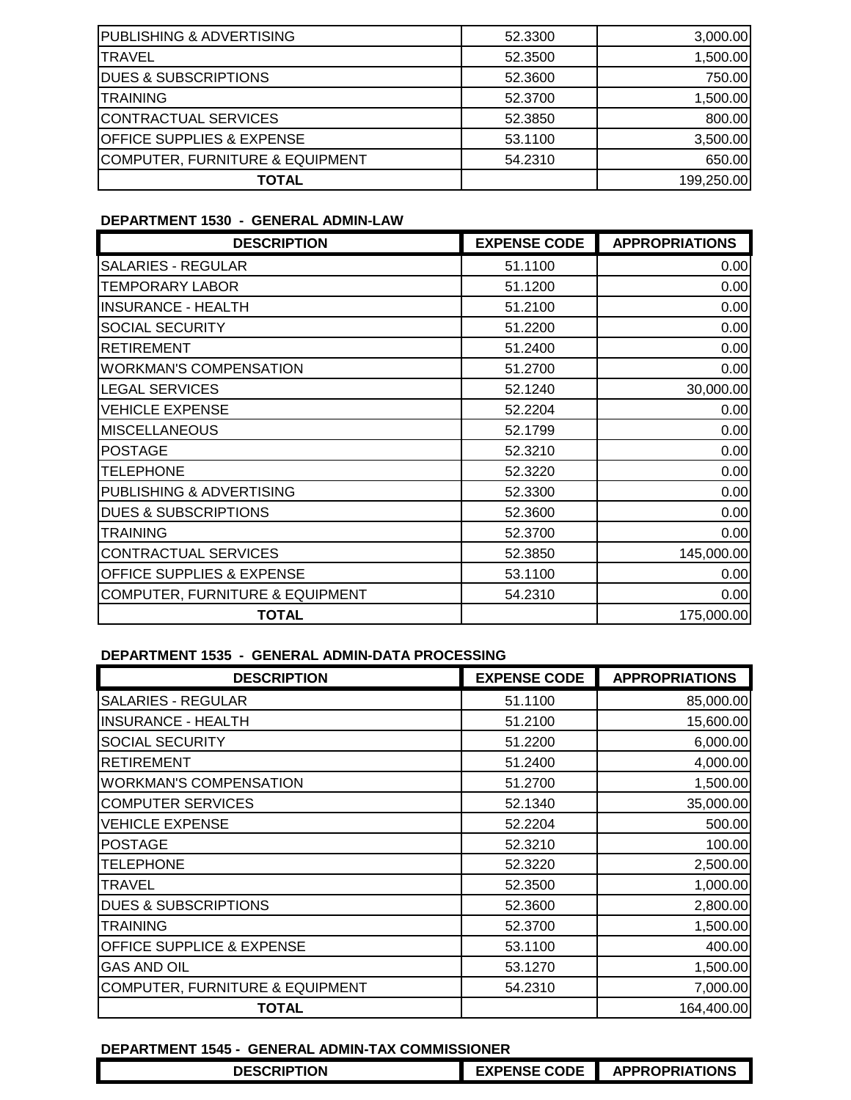| <b>TOTAL</b>                         |         | 199,250.00 |
|--------------------------------------|---------|------------|
| COMPUTER, FURNITURE & EQUIPMENT      | 54.2310 | 650.00     |
| <b>OFFICE SUPPLIES &amp; EXPENSE</b> | 53.1100 | 3,500.00   |
| CONTRACTUAL SERVICES                 | 52.3850 | 800.00     |
| <b>TRAINING</b>                      | 52.3700 | 1,500.00   |
| <b>DUES &amp; SUBSCRIPTIONS</b>      | 52,3600 | 750.00     |
| <b>TRAVEL</b>                        | 52,3500 | 1,500.00   |
| <b>PUBLISHING &amp; ADVERTISING</b>  | 52,3300 | 3,000.00   |

## **DEPARTMENT 1530 - GENERAL ADMIN-LAW**

| <b>DESCRIPTION</b>                         | <b>EXPENSE CODE</b> | <b>APPROPRIATIONS</b> |
|--------------------------------------------|---------------------|-----------------------|
| <b>SALARIES - REGULAR</b>                  | 51.1100             | 0.00                  |
| <b>TEMPORARY LABOR</b>                     | 51.1200             | 0.00                  |
| <b>INSURANCE - HEALTH</b>                  | 51.2100             | 0.00                  |
| SOCIAL SECURITY                            | 51.2200             | 0.00                  |
| <b>RETIREMENT</b>                          | 51.2400             | 0.00                  |
| <b>WORKMAN'S COMPENSATION</b>              | 51.2700             | 0.00                  |
| <b>LEGAL SERVICES</b>                      | 52.1240             | 30,000.00             |
| <b>VEHICLE EXPENSE</b>                     | 52.2204             | 0.00                  |
| <b>MISCELLANEOUS</b>                       | 52.1799             | 0.00                  |
| <b>POSTAGE</b>                             | 52.3210             | 0.00                  |
| <b>TELEPHONE</b>                           | 52.3220             | 0.00                  |
| PUBLISHING & ADVERTISING                   | 52.3300             | 0.00                  |
| <b>DUES &amp; SUBSCRIPTIONS</b>            | 52,3600             | 0.00                  |
| <b>TRAINING</b>                            | 52.3700             | 0.00                  |
| CONTRACTUAL SERVICES                       | 52.3850             | 145,000.00            |
| OFFICE SUPPLIES & EXPENSE                  | 53.1100             | 0.00                  |
| <b>COMPUTER, FURNITURE &amp; EQUIPMENT</b> | 54.2310             | 0.00                  |
| <b>TOTAL</b>                               |                     | 175,000.00            |

#### **DEPARTMENT 1535 - GENERAL ADMIN-DATA PROCESSING**

| <b>DESCRIPTION</b>                         | <b>EXPENSE CODE</b> | <b>APPROPRIATIONS</b> |
|--------------------------------------------|---------------------|-----------------------|
| <b>SALARIES - REGULAR</b>                  | 51.1100             | 85,000.00             |
| <b>INSURANCE - HEALTH</b>                  | 51.2100             | 15,600.00             |
| <b>SOCIAL SECURITY</b>                     | 51.2200             | 6,000.00              |
| <b>RETIREMENT</b>                          | 51.2400             | 4,000.00              |
| <b>WORKMAN'S COMPENSATION</b>              | 51.2700             | 1,500.00              |
| <b>COMPUTER SERVICES</b>                   | 52.1340             | 35,000.00             |
| <b>VEHICLE EXPENSE</b>                     | 52.2204             | 500.00                |
| <b>POSTAGE</b>                             | 52.3210             | 100.00                |
| <b>TELEPHONE</b>                           | 52,3220             | 2,500.00              |
| TRAVEL                                     | 52,3500             | 1,000.00              |
| <b>DUES &amp; SUBSCRIPTIONS</b>            | 52.3600             | 2,800.00              |
| <b>TRAINING</b>                            | 52,3700             | 1,500.00              |
| <b>OFFICE SUPPLICE &amp; EXPENSE</b>       | 53.1100             | 400.00                |
| <b>GAS AND OIL</b>                         | 53.1270             | 1,500.00              |
| <b>COMPUTER, FURNITURE &amp; EQUIPMENT</b> | 54.2310             | 7,000.00              |
| <b>TOTAL</b>                               |                     | 164,400.00            |

## **DEPARTMENT 1545 - GENERAL ADMIN-TAX COMMISSIONER**

| <b>DESCRIPTION</b> | <b>PENSE CODE</b> | ROPRIATIONS |
|--------------------|-------------------|-------------|
|                    |                   |             |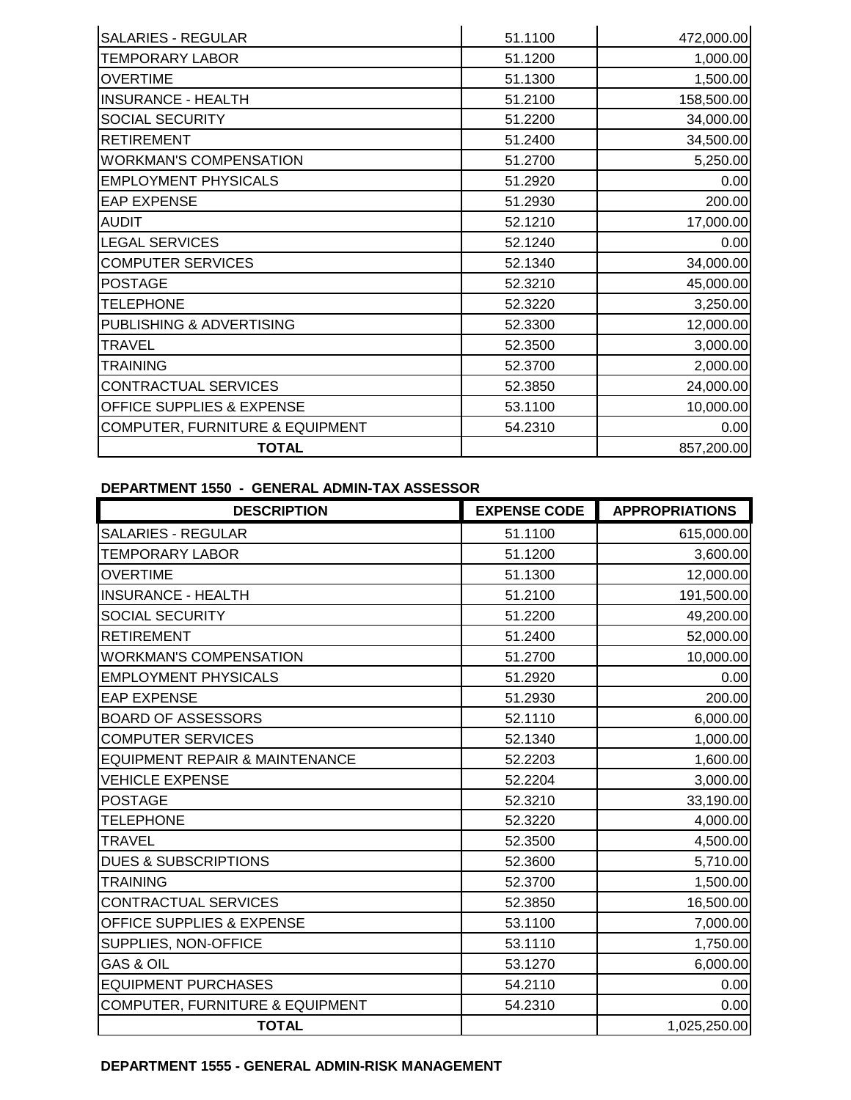| <b>SALARIES - REGULAR</b>                  | 51.1100 | 472,000.00 |
|--------------------------------------------|---------|------------|
| <b>TEMPORARY LABOR</b>                     | 51.1200 | 1,000.00   |
| <b>OVERTIME</b>                            | 51.1300 | 1,500.00   |
| <b>INSURANCE - HEALTH</b>                  | 51.2100 | 158,500.00 |
| <b>SOCIAL SECURITY</b>                     | 51.2200 | 34,000.00  |
| <b>RETIREMENT</b>                          | 51.2400 | 34,500.00  |
| <b>WORKMAN'S COMPENSATION</b>              | 51.2700 | 5,250.00   |
| <b>EMPLOYMENT PHYSICALS</b>                | 51.2920 | 0.00       |
| <b>EAP EXPENSE</b>                         | 51.2930 | 200.00     |
| <b>AUDIT</b>                               | 52.1210 | 17,000.00  |
| <b>LEGAL SERVICES</b>                      | 52.1240 | 0.00       |
| <b>COMPUTER SERVICES</b>                   | 52.1340 | 34,000.00  |
| <b>POSTAGE</b>                             | 52.3210 | 45,000.00  |
| <b>TELEPHONE</b>                           | 52.3220 | 3,250.00   |
| PUBLISHING & ADVERTISING                   | 52.3300 | 12,000.00  |
| <b>TRAVEL</b>                              | 52.3500 | 3,000.00   |
| <b>TRAINING</b>                            | 52.3700 | 2,000.00   |
| <b>CONTRACTUAL SERVICES</b>                | 52.3850 | 24,000.00  |
| OFFICE SUPPLIES & EXPENSE                  | 53.1100 | 10,000.00  |
| <b>COMPUTER, FURNITURE &amp; EQUIPMENT</b> | 54.2310 | 0.00       |
| <b>TOTAL</b>                               |         | 857,200.00 |

# **DEPARTMENT 1550 - GENERAL ADMIN-TAX ASSESSOR**

| <b>DESCRIPTION</b>                        | <b>EXPENSE CODE</b> | <b>APPROPRIATIONS</b> |
|-------------------------------------------|---------------------|-----------------------|
| <b>SALARIES - REGULAR</b>                 | 51.1100             | 615,000.00            |
| <b>TEMPORARY LABOR</b>                    | 51.1200             | 3,600.00              |
| <b>OVERTIME</b>                           | 51.1300             | 12,000.00             |
| <b>INSURANCE - HEALTH</b>                 | 51.2100             | 191,500.00            |
| SOCIAL SECURITY                           | 51.2200             | 49,200.00             |
| <b>RETIREMENT</b>                         | 51.2400             | 52,000.00             |
| <b>WORKMAN'S COMPENSATION</b>             | 51.2700             | 10,000.00             |
| <b>EMPLOYMENT PHYSICALS</b>               | 51.2920             | 0.00                  |
| <b>EAP EXPENSE</b>                        | 51.2930             | 200.00                |
| <b>BOARD OF ASSESSORS</b>                 | 52.1110             | 6,000.00              |
| <b>COMPUTER SERVICES</b>                  | 52.1340             | 1,000.00              |
| <b>EQUIPMENT REPAIR &amp; MAINTENANCE</b> | 52.2203             | 1,600.00              |
| <b>VEHICLE EXPENSE</b>                    | 52.2204             | 3,000.00              |
| <b>POSTAGE</b>                            | 52.3210             | 33,190.00             |
| <b>TELEPHONE</b>                          | 52.3220             | 4,000.00              |
| <b>TRAVEL</b>                             | 52.3500             | 4,500.00              |
| <b>DUES &amp; SUBSCRIPTIONS</b>           | 52.3600             | 5,710.00              |
| <b>TRAINING</b>                           | 52.3700             | 1,500.00              |
| CONTRACTUAL SERVICES                      | 52.3850             | 16,500.00             |
| <b>OFFICE SUPPLIES &amp; EXPENSE</b>      | 53.1100             | 7,000.00              |
| SUPPLIES, NON-OFFICE                      | 53.1110             | 1,750.00              |
| <b>GAS &amp; OIL</b>                      | 53.1270             | 6,000.00              |
| <b>EQUIPMENT PURCHASES</b>                | 54.2110             | 0.00                  |
| COMPUTER, FURNITURE & EQUIPMENT           | 54.2310             | 0.00                  |
| <b>TOTAL</b>                              |                     | 1,025,250.00          |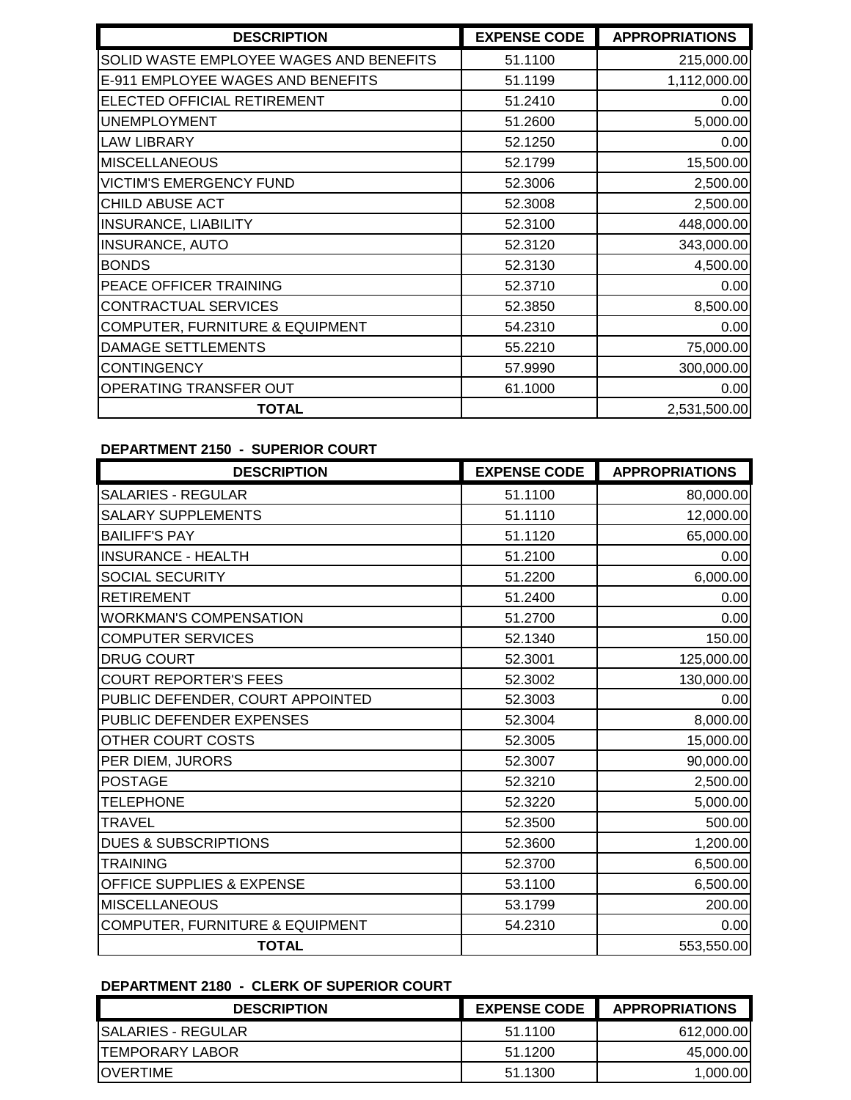| <b>DESCRIPTION</b>                         | <b>EXPENSE CODE</b> | <b>APPROPRIATIONS</b> |
|--------------------------------------------|---------------------|-----------------------|
| SOLID WASTE EMPLOYEE WAGES AND BENEFITS    | 51.1100             | 215,000.00            |
| E-911 EMPLOYEE WAGES AND BENEFITS          | 51.1199             | 1,112,000.00          |
| ELECTED OFFICIAL RETIREMENT                | 51.2410             | 0.00                  |
| <b>UNEMPLOYMENT</b>                        | 51.2600             | 5,000.00              |
| <b>LAW LIBRARY</b>                         | 52.1250             | 0.00                  |
| <b>MISCELLANEOUS</b>                       | 52.1799             | 15,500.00             |
| <b>VICTIM'S EMERGENCY FUND</b>             | 52.3006             | 2,500.00              |
| CHILD ABUSE ACT                            | 52.3008             | 2,500.00              |
| <b>INSURANCE, LIABILITY</b>                | 52.3100             | 448,000.00            |
| <b>INSURANCE, AUTO</b>                     | 52.3120             | 343,000.00            |
| <b>BONDS</b>                               | 52.3130             | 4,500.00              |
| PEACE OFFICER TRAINING                     | 52.3710             | 0.00                  |
| CONTRACTUAL SERVICES                       | 52.3850             | 8,500.00              |
| <b>COMPUTER, FURNITURE &amp; EQUIPMENT</b> | 54.2310             | 0.00                  |
| DAMAGE SETTLEMENTS                         | 55.2210             | 75,000.00             |
| <b>CONTINGENCY</b>                         | 57.9990             | 300,000.00            |
| OPERATING TRANSFER OUT                     | 61.1000             | 0.00                  |
| <b>TOTAL</b>                               |                     | 2,531,500.00          |

### **DEPARTMENT 2150 - SUPERIOR COURT**

| <b>DESCRIPTION</b>                   | <b>EXPENSE CODE</b> | <b>APPROPRIATIONS</b> |
|--------------------------------------|---------------------|-----------------------|
| <b>SALARIES - REGULAR</b>            | 51.1100             | 80,000.00             |
| <b>SALARY SUPPLEMENTS</b>            | 51.1110             | 12,000.00             |
| <b>BAILIFF'S PAY</b>                 | 51.1120             | 65,000.00             |
| <b>INSURANCE - HEALTH</b>            | 51.2100             | 0.00                  |
| <b>SOCIAL SECURITY</b>               | 51.2200             | 6,000.00              |
| <b>RETIREMENT</b>                    | 51.2400             | 0.00                  |
| <b>WORKMAN'S COMPENSATION</b>        | 51.2700             | 0.00                  |
| <b>COMPUTER SERVICES</b>             | 52.1340             | 150.00                |
| <b>DRUG COURT</b>                    | 52.3001             | 125,000.00            |
| <b>COURT REPORTER'S FEES</b>         | 52.3002             | 130,000.00            |
| PUBLIC DEFENDER, COURT APPOINTED     | 52.3003             | 0.00                  |
| PUBLIC DEFENDER EXPENSES             | 52.3004             | 8,000.00              |
| OTHER COURT COSTS                    | 52.3005             | 15,000.00             |
| PER DIEM, JURORS                     | 52.3007             | 90,000.00             |
| <b>POSTAGE</b>                       | 52.3210             | 2,500.00              |
| <b>TELEPHONE</b>                     | 52.3220             | 5,000.00              |
| <b>TRAVEL</b>                        | 52.3500             | 500.00                |
| <b>DUES &amp; SUBSCRIPTIONS</b>      | 52.3600             | 1,200.00              |
| <b>TRAINING</b>                      | 52.3700             | 6,500.00              |
| <b>OFFICE SUPPLIES &amp; EXPENSE</b> | 53.1100             | 6,500.00              |
| <b>MISCELLANEOUS</b>                 | 53.1799             | 200.00                |
| COMPUTER, FURNITURE & EQUIPMENT      | 54.2310             | 0.00                  |
| <b>TOTAL</b>                         |                     | 553,550.00            |

# **DEPARTMENT 2180 - CLERK OF SUPERIOR COURT**

| <b>DESCRIPTION</b>      | <b>EXPENSE CODE</b> | <b>APPROPRIATIONS</b> |
|-------------------------|---------------------|-----------------------|
| ISALARIES - REGULAR     | 51.1100             | 612,000.00            |
| <b>ITEMPORARY LABOR</b> | 51.1200             | 45,000.00             |
| <b>IOVERTIME</b>        | 51.1300             | 1,000.00              |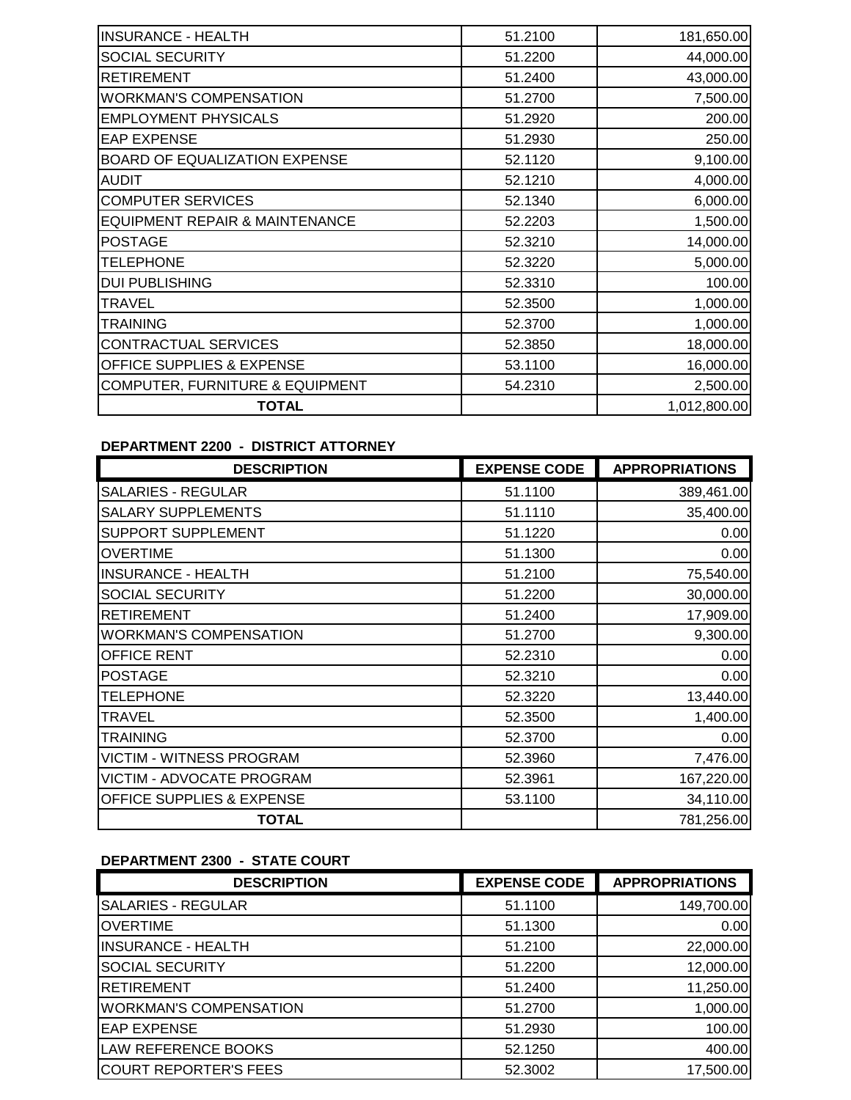| <b>INSURANCE - HEALTH</b>            | 51.2100 | 181,650.00   |
|--------------------------------------|---------|--------------|
| <b>SOCIAL SECURITY</b>               | 51.2200 | 44,000.00    |
| <b>RETIREMENT</b>                    | 51.2400 | 43,000.00    |
| <b>WORKMAN'S COMPENSATION</b>        | 51.2700 | 7,500.00     |
| <b>EMPLOYMENT PHYSICALS</b>          | 51.2920 | 200.00       |
| <b>EAP EXPENSE</b>                   | 51.2930 | 250.00       |
| <b>BOARD OF EQUALIZATION EXPENSE</b> | 52.1120 | 9,100.00     |
| <b>AUDIT</b>                         | 52.1210 | 4,000.00     |
| <b>COMPUTER SERVICES</b>             | 52.1340 | 6,000.00     |
| EQUIPMENT REPAIR & MAINTENANCE       | 52.2203 | 1,500.00     |
| <b>POSTAGE</b>                       | 52.3210 | 14,000.00    |
| <b>TELEPHONE</b>                     | 52.3220 | 5,000.00     |
| <b>DUI PUBLISHING</b>                | 52.3310 | 100.00       |
| <b>TRAVEL</b>                        | 52.3500 | 1,000.00     |
| <b>TRAINING</b>                      | 52.3700 | 1,000.00     |
| CONTRACTUAL SERVICES                 | 52.3850 | 18,000.00    |
| OFFICE SUPPLIES & EXPENSE            | 53.1100 | 16,000.00    |
| COMPUTER, FURNITURE & EQUIPMENT      | 54.2310 | 2,500.00     |
| <b>TOTAL</b>                         |         | 1,012,800.00 |

### **DEPARTMENT 2200 - DISTRICT ATTORNEY**

| <b>DESCRIPTION</b>               | <b>EXPENSE CODE</b> | <b>APPROPRIATIONS</b> |
|----------------------------------|---------------------|-----------------------|
| <b>SALARIES - REGULAR</b>        | 51.1100             | 389,461.00            |
| <b>SALARY SUPPLEMENTS</b>        | 51.1110             | 35,400.00             |
| <b>SUPPORT SUPPLEMENT</b>        | 51.1220             | 0.00                  |
| <b>OVERTIME</b>                  | 51.1300             | 0.00                  |
| <b>INSURANCE - HEALTH</b>        | 51.2100             | 75,540.00             |
| <b>SOCIAL SECURITY</b>           | 51.2200             | 30,000.00             |
| <b>RETIREMENT</b>                | 51.2400             | 17,909.00             |
| <b>WORKMAN'S COMPENSATION</b>    | 51.2700             | 9,300.00              |
| <b>OFFICE RENT</b>               | 52.2310             | 0.00                  |
| <b>POSTAGE</b>                   | 52.3210             | 0.00                  |
| <b>TELEPHONE</b>                 | 52.3220             | 13,440.00             |
| <b>TRAVEL</b>                    | 52.3500             | 1,400.00              |
| <b>TRAINING</b>                  | 52,3700             | 0.00                  |
| <b>VICTIM - WITNESS PROGRAM</b>  | 52.3960             | 7,476.00              |
| <b>VICTIM - ADVOCATE PROGRAM</b> | 52.3961             | 167,220.00            |
| OFFICE SUPPLIES & EXPENSE        | 53.1100             | 34,110.00             |
| <b>TOTAL</b>                     |                     | 781,256.00            |

# **DEPARTMENT 2300 - STATE COURT**

| <b>DESCRIPTION</b>            | <b>EXPENSE CODE</b> | <b>APPROPRIATIONS</b> |
|-------------------------------|---------------------|-----------------------|
| <b>SALARIES - REGULAR</b>     | 51.1100             | 149,700.00            |
| <b>OVERTIME</b>               | 51.1300             | 0.00                  |
| <b>INSURANCE - HEALTH</b>     | 51.2100             | 22,000.00             |
| <b>SOCIAL SECURITY</b>        | 51.2200             | 12,000.00             |
| <b>RETIREMENT</b>             | 51.2400             | 11,250.00             |
| <b>WORKMAN'S COMPENSATION</b> | 51.2700             | 1,000.00              |
| <b>EAP EXPENSE</b>            | 51.2930             | 100.00                |
| <b>LAW REFERENCE BOOKS</b>    | 52.1250             | 400.00                |
| <b>COURT REPORTER'S FEES</b>  | 52.3002             | 17,500.00             |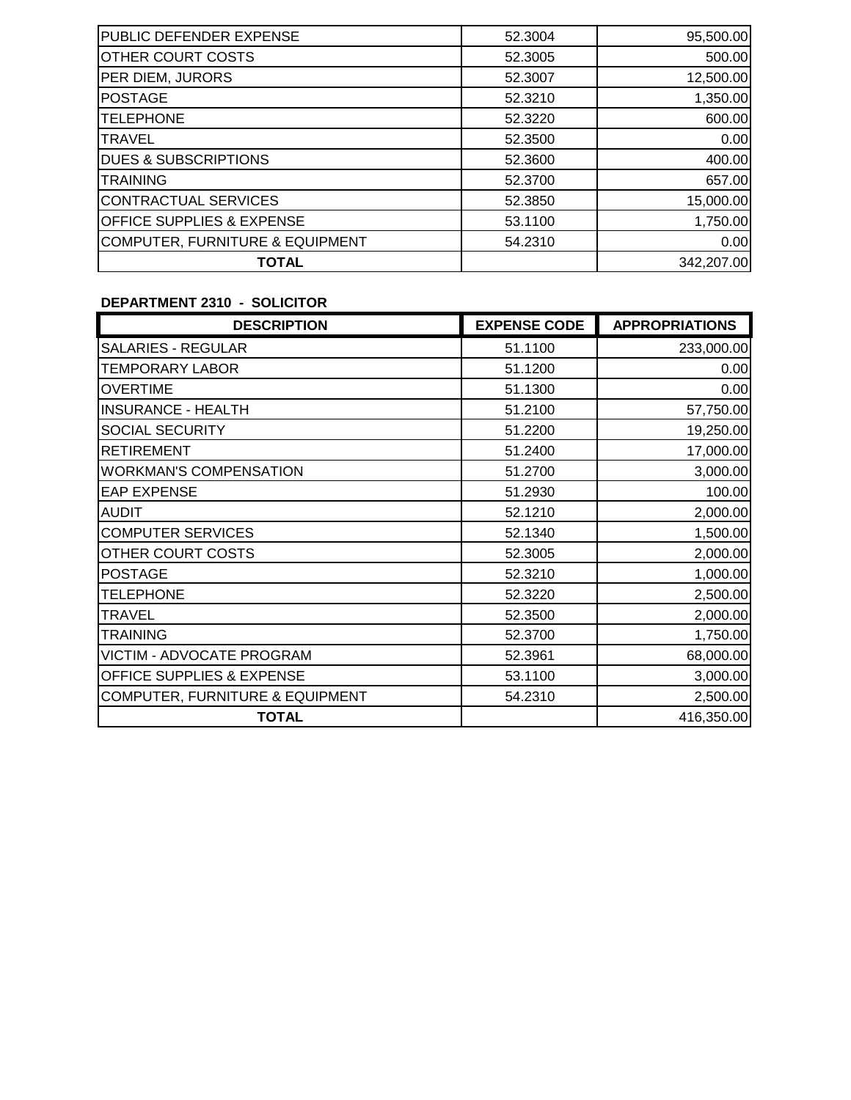| <b>TOTAL</b>                               |         | 342,207.00 |
|--------------------------------------------|---------|------------|
| <b>COMPUTER, FURNITURE &amp; EQUIPMENT</b> | 54.2310 | 0.00       |
| <b>OFFICE SUPPLIES &amp; EXPENSE</b>       | 53.1100 | 1,750.00   |
| CONTRACTUAL SERVICES                       | 52.3850 | 15,000.00  |
| <b>TRAINING</b>                            | 52.3700 | 657.00     |
| <b>DUES &amp; SUBSCRIPTIONS</b>            | 52.3600 | 400.00     |
| <b>TRAVEL</b>                              | 52.3500 | 0.00       |
| <b>TELEPHONE</b>                           | 52.3220 | 600.00     |
| <b>POSTAGE</b>                             | 52.3210 | 1,350.00   |
| PER DIEM, JURORS                           | 52,3007 | 12,500.00  |
| OTHER COURT COSTS                          | 52.3005 | 500.00     |
| <b>PUBLIC DEFENDER EXPENSE</b>             | 52.3004 | 95,500.00  |

### **DEPARTMENT 2310 - SOLICITOR**

| <b>DESCRIPTION</b>                         | <b>EXPENSE CODE</b> | <b>APPROPRIATIONS</b> |
|--------------------------------------------|---------------------|-----------------------|
| <b>SALARIES - REGULAR</b>                  | 51.1100             | 233,000.00            |
| <b>TEMPORARY LABOR</b>                     | 51.1200             | 0.00                  |
| <b>OVERTIME</b>                            | 51.1300             | 0.00                  |
| <b>INSURANCE - HEALTH</b>                  | 51.2100             | 57,750.00             |
| <b>SOCIAL SECURITY</b>                     | 51.2200             | 19,250.00             |
| <b>RETIREMENT</b>                          | 51.2400             | 17,000.00             |
| <b>WORKMAN'S COMPENSATION</b>              | 51.2700             | 3,000.00              |
| <b>EAP EXPENSE</b>                         | 51.2930             | 100.00                |
| <b>AUDIT</b>                               | 52.1210             | 2,000.00              |
| <b>COMPUTER SERVICES</b>                   | 52.1340             | 1,500.00              |
| OTHER COURT COSTS                          | 52.3005             | 2,000.00              |
| <b>POSTAGE</b>                             | 52.3210             | 1,000.00              |
| <b>TELEPHONE</b>                           | 52.3220             | 2,500.00              |
| <b>TRAVEL</b>                              | 52.3500             | 2,000.00              |
| <b>TRAINING</b>                            | 52.3700             | 1,750.00              |
| VICTIM - ADVOCATE PROGRAM                  | 52.3961             | 68,000.00             |
| OFFICE SUPPLIES & EXPENSE                  | 53.1100             | 3,000.00              |
| <b>COMPUTER, FURNITURE &amp; EQUIPMENT</b> | 54.2310             | 2,500.00              |
| <b>TOTAL</b>                               |                     | 416,350.00            |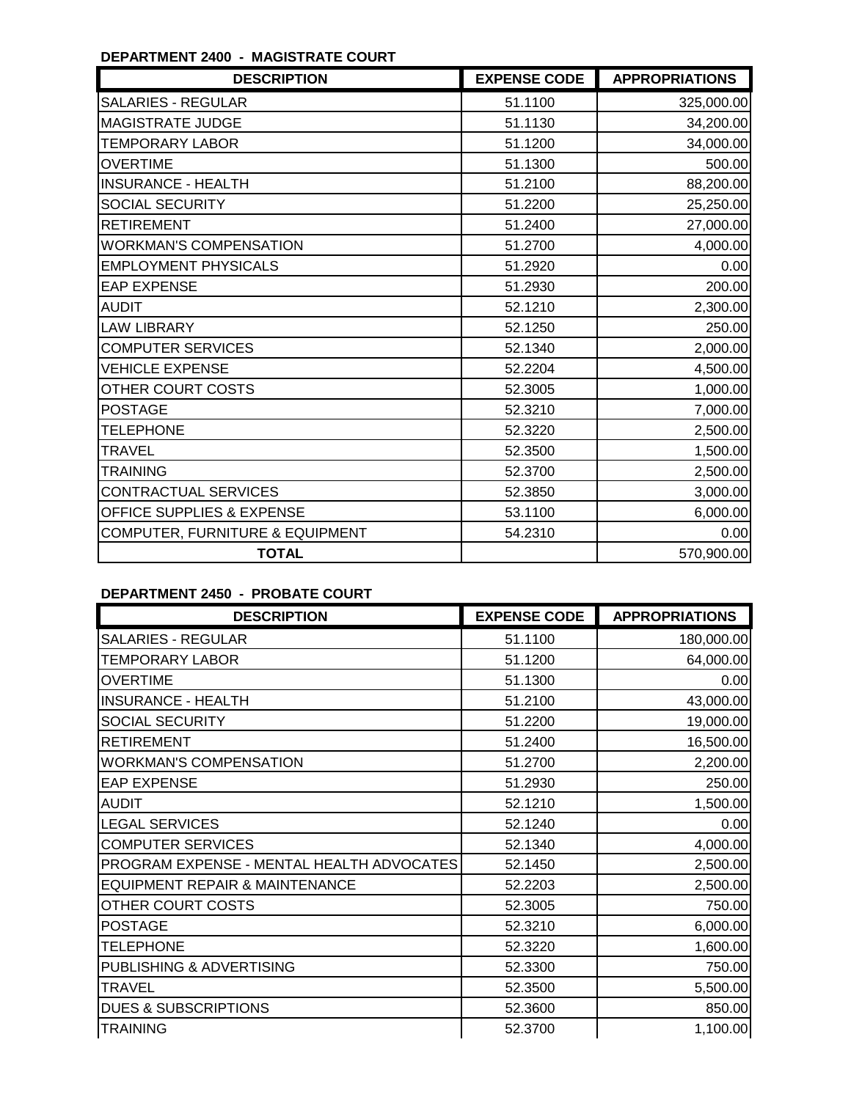## **DEPARTMENT 2400 - MAGISTRATE COURT**

| <b>DESCRIPTION</b>              | <b>EXPENSE CODE</b> | <b>APPROPRIATIONS</b> |
|---------------------------------|---------------------|-----------------------|
| <b>SALARIES - REGULAR</b>       | 51.1100             | 325,000.00            |
| <b>MAGISTRATE JUDGE</b>         | 51.1130             | 34,200.00             |
| <b>TEMPORARY LABOR</b>          | 51.1200             | 34,000.00             |
| <b>OVERTIME</b>                 | 51.1300             | 500.00                |
| <b>INSURANCE - HEALTH</b>       | 51.2100             | 88,200.00             |
| <b>SOCIAL SECURITY</b>          | 51.2200             | 25,250.00             |
| <b>RETIREMENT</b>               | 51.2400             | 27,000.00             |
| <b>WORKMAN'S COMPENSATION</b>   | 51.2700             | 4,000.00              |
| <b>EMPLOYMENT PHYSICALS</b>     | 51.2920             | 0.00                  |
| <b>EAP EXPENSE</b>              | 51.2930             | 200.00                |
| <b>AUDIT</b>                    | 52.1210             | 2,300.00              |
| <b>LAW LIBRARY</b>              | 52.1250             | 250.00                |
| <b>COMPUTER SERVICES</b>        | 52.1340             | 2,000.00              |
| <b>VEHICLE EXPENSE</b>          | 52.2204             | 4,500.00              |
| OTHER COURT COSTS               | 52.3005             | 1,000.00              |
| <b>POSTAGE</b>                  | 52.3210             | 7,000.00              |
| <b>TELEPHONE</b>                | 52.3220             | 2,500.00              |
| <b>TRAVEL</b>                   | 52.3500             | 1,500.00              |
| <b>TRAINING</b>                 | 52.3700             | 2,500.00              |
| <b>CONTRACTUAL SERVICES</b>     | 52.3850             | 3,000.00              |
| OFFICE SUPPLIES & EXPENSE       | 53.1100             | 6,000.00              |
| COMPUTER, FURNITURE & EQUIPMENT | 54.2310             | 0.00                  |
| <b>TOTAL</b>                    |                     | 570,900.00            |

# **DEPARTMENT 2450 - PROBATE COURT**

| <b>DESCRIPTION</b>                        | <b>EXPENSE CODE</b> | <b>APPROPRIATIONS</b> |
|-------------------------------------------|---------------------|-----------------------|
| <b>SALARIES - REGULAR</b>                 | 51.1100             | 180,000.00            |
| <b>TEMPORARY LABOR</b>                    | 51.1200             | 64,000.00             |
| <b>OVERTIME</b>                           | 51.1300             | 0.00                  |
| <b>INSURANCE - HEALTH</b>                 | 51.2100             | 43,000.00             |
| <b>SOCIAL SECURITY</b>                    | 51.2200             | 19,000.00             |
| <b>RETIREMENT</b>                         | 51.2400             | 16,500.00             |
| <b>WORKMAN'S COMPENSATION</b>             | 51.2700             | 2,200.00              |
| <b>EAP EXPENSE</b>                        | 51.2930             | 250.00                |
| <b>AUDIT</b>                              | 52.1210             | 1,500.00              |
| <b>LEGAL SERVICES</b>                     | 52.1240             | 0.00                  |
| <b>COMPUTER SERVICES</b>                  | 52.1340             | 4,000.00              |
| PROGRAM EXPENSE - MENTAL HEALTH ADVOCATES | 52.1450             | 2,500.00              |
| <b>EQUIPMENT REPAIR &amp; MAINTENANCE</b> | 52.2203             | 2,500.00              |
| OTHER COURT COSTS                         | 52.3005             | 750.00                |
| <b>POSTAGE</b>                            | 52.3210             | 6,000.00              |
| <b>TELEPHONE</b>                          | 52.3220             | 1,600.00              |
| PUBLISHING & ADVERTISING                  | 52.3300             | 750.00                |
| <b>TRAVEL</b>                             | 52.3500             | 5,500.00              |
| <b>DUES &amp; SUBSCRIPTIONS</b>           | 52.3600             | 850.00                |
| <b>TRAINING</b>                           | 52.3700             | 1,100.00              |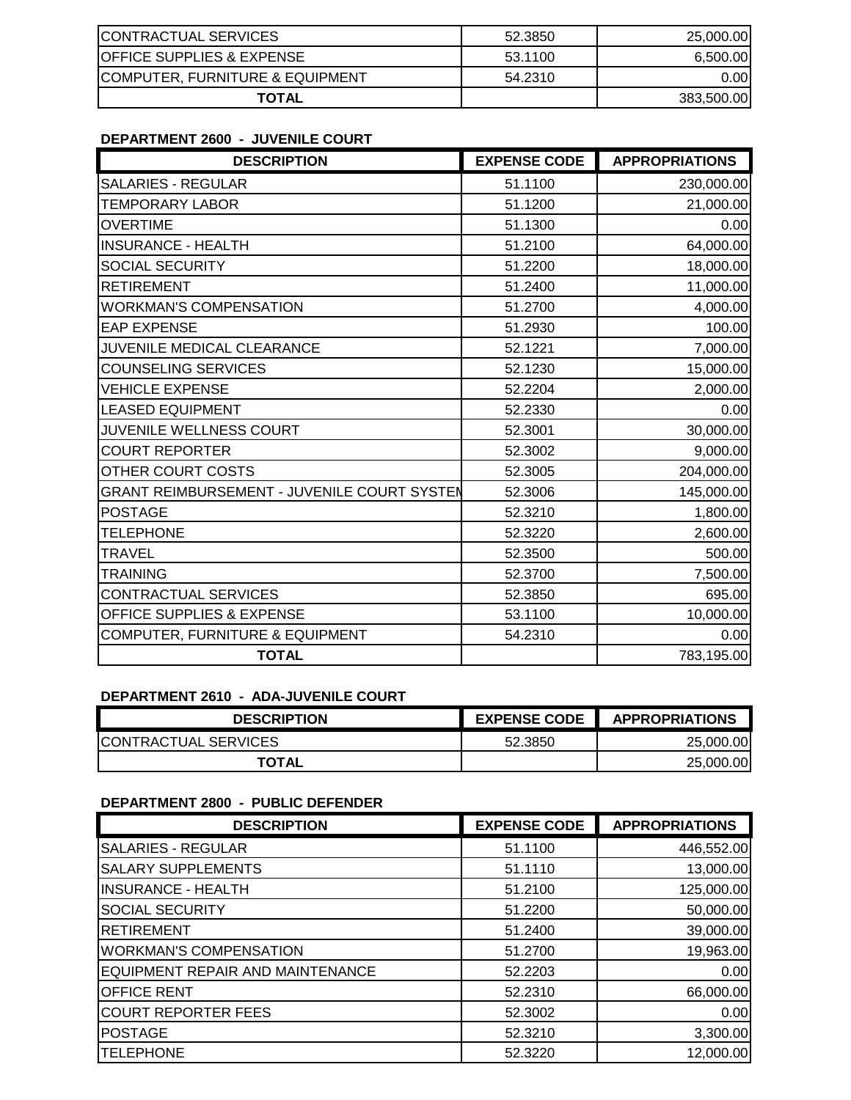| <b>CONTRACTUAL SERVICES</b>           | 52.3850 | 25,000.00         |
|---------------------------------------|---------|-------------------|
| <b>IOFFICE SUPPLIES &amp; EXPENSE</b> | 53.1100 | 6.500.00          |
| COMPUTER, FURNITURE & EQUIPMENT       | 54.2310 | 0.00 <sub>l</sub> |
| <b>TOTAL</b>                          |         | 383,500.00        |

#### **DEPARTMENT 2600 - JUVENILE COURT**

| <b>DESCRIPTION</b>                          | <b>EXPENSE CODE</b> | <b>APPROPRIATIONS</b> |
|---------------------------------------------|---------------------|-----------------------|
| <b>SALARIES - REGULAR</b>                   | 51.1100             | 230,000.00            |
| <b>TEMPORARY LABOR</b>                      | 51.1200             | 21,000.00             |
| <b>OVERTIME</b>                             | 51.1300             | 0.00                  |
| <b>INSURANCE - HEALTH</b>                   | 51.2100             | 64,000.00             |
| <b>SOCIAL SECURITY</b>                      | 51.2200             | 18,000.00             |
| <b>RETIREMENT</b>                           | 51.2400             | 11,000.00             |
| <b>WORKMAN'S COMPENSATION</b>               | 51.2700             | 4,000.00              |
| <b>EAP EXPENSE</b>                          | 51.2930             | 100.00                |
| JUVENILE MEDICAL CLEARANCE                  | 52.1221             | 7,000.00              |
| <b>COUNSELING SERVICES</b>                  | 52.1230             | 15,000.00             |
| <b>VEHICLE EXPENSE</b>                      | 52.2204             | 2,000.00              |
| <b>LEASED EQUIPMENT</b>                     | 52.2330             | 0.00                  |
| JUVENILE WELLNESS COURT                     | 52.3001             | 30,000.00             |
| <b>COURT REPORTER</b>                       | 52.3002             | 9,000.00              |
| OTHER COURT COSTS                           | 52.3005             | 204,000.00            |
| GRANT REIMBURSEMENT - JUVENILE COURT SYSTEN | 52.3006             | 145,000.00            |
| <b>POSTAGE</b>                              | 52.3210             | 1,800.00              |
| <b>TELEPHONE</b>                            | 52.3220             | 2,600.00              |
| TRAVEL                                      | 52.3500             | 500.00                |
| <b>TRAINING</b>                             | 52.3700             | 7,500.00              |
| CONTRACTUAL SERVICES                        | 52.3850             | 695.00                |
| OFFICE SUPPLIES & EXPENSE                   | 53.1100             | 10,000.00             |
| COMPUTER, FURNITURE & EQUIPMENT             | 54.2310             | 0.00                  |
| <b>TOTAL</b>                                |                     | 783,195.00            |

# **DEPARTMENT 2610 - ADA-JUVENILE COURT**

| <b>DESCRIPTION</b>          | <b>EXPENSE CODE</b> | <b>APPROPRIATIONS</b> |
|-----------------------------|---------------------|-----------------------|
| <b>CONTRACTUAL SERVICES</b> | 52.3850             | 25,000,00             |
| <b>TOTAL</b>                |                     | 25,000.00             |

## **DEPARTMENT 2800 - PUBLIC DEFENDER**

| <b>DESCRIPTION</b>               | <b>EXPENSE CODE</b> | <b>APPROPRIATIONS</b> |
|----------------------------------|---------------------|-----------------------|
| <b>SALARIES - REGULAR</b>        | 51.1100             | 446,552.00            |
| <b>SALARY SUPPLEMENTS</b>        | 51.1110             | 13,000.00             |
| <b>INSURANCE - HEALTH</b>        | 51.2100             | 125,000.00            |
| <b>SOCIAL SECURITY</b>           | 51.2200             | 50,000.00             |
| <b>RETIREMENT</b>                | 51.2400             | 39,000.00             |
| <b>WORKMAN'S COMPENSATION</b>    | 51.2700             | 19,963.00             |
| EQUIPMENT REPAIR AND MAINTENANCE | 52.2203             | 0.00                  |
| <b>OFFICE RENT</b>               | 52.2310             | 66,000.00             |
| <b>COURT REPORTER FEES</b>       | 52,3002             | 0.00                  |
| <b>POSTAGE</b>                   | 52.3210             | 3,300.00              |
| <b>TELEPHONE</b>                 | 52,3220             | 12,000.00             |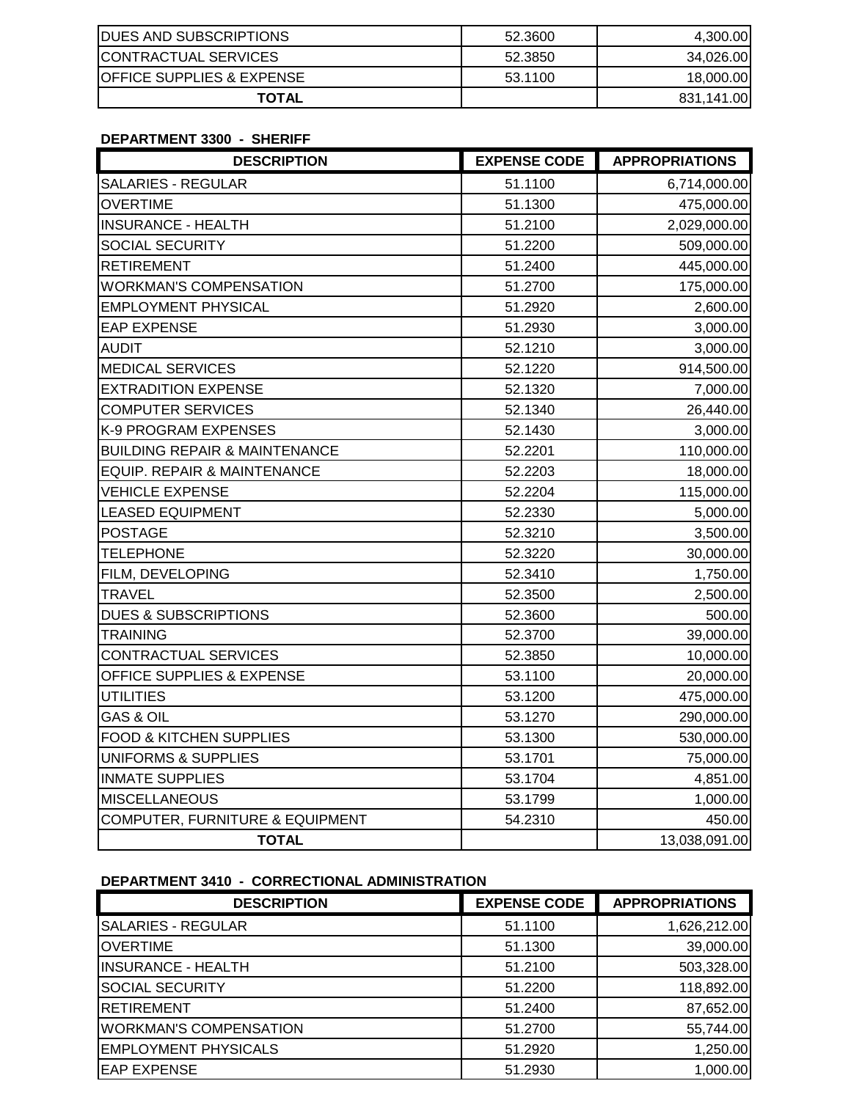| <b>IDUES AND SUBSCRIPTIONS</b>        | 52.3600 | 4.300.00   |
|---------------------------------------|---------|------------|
| <b>CONTRACTUAL SERVICES</b>           | 52.3850 | 34,026.00  |
| <b>IOFFICE SUPPLIES &amp; EXPENSE</b> | 53.1100 | 18,000.00  |
| <b>TOTAL</b>                          |         | 831,141.00 |

#### **DEPARTMENT 3300 - SHERIFF**

| <b>DESCRIPTION</b>                         | <b>EXPENSE CODE</b> | <b>APPROPRIATIONS</b> |
|--------------------------------------------|---------------------|-----------------------|
| <b>SALARIES - REGULAR</b>                  | 51.1100             | 6,714,000.00          |
| <b>OVERTIME</b>                            | 51.1300             | 475,000.00            |
| <b>INSURANCE - HEALTH</b>                  | 51.2100             | 2,029,000.00          |
| <b>SOCIAL SECURITY</b>                     | 51.2200             | 509,000.00            |
| <b>RETIREMENT</b>                          | 51.2400             | 445,000.00            |
| <b>WORKMAN'S COMPENSATION</b>              | 51.2700             | 175,000.00            |
| <b>EMPLOYMENT PHYSICAL</b>                 | 51.2920             | 2,600.00              |
| <b>EAP EXPENSE</b>                         | 51.2930             | 3,000.00              |
| <b>AUDIT</b>                               | 52.1210             | 3,000.00              |
| <b>MEDICAL SERVICES</b>                    | 52.1220             | 914,500.00            |
| <b>EXTRADITION EXPENSE</b>                 | 52.1320             | 7,000.00              |
| <b>COMPUTER SERVICES</b>                   | 52.1340             | 26,440.00             |
| K-9 PROGRAM EXPENSES                       | 52.1430             | 3,000.00              |
| <b>BUILDING REPAIR &amp; MAINTENANCE</b>   | 52.2201             | 110,000.00            |
| EQUIP. REPAIR & MAINTENANCE                | 52.2203             | 18,000.00             |
| <b>VEHICLE EXPENSE</b>                     | 52.2204             | 115,000.00            |
| <b>LEASED EQUIPMENT</b>                    | 52.2330             | 5,000.00              |
| <b>POSTAGE</b>                             | 52.3210             | 3,500.00              |
| <b>TELEPHONE</b>                           | 52.3220             | 30,000.00             |
| FILM, DEVELOPING                           | 52.3410             | 1,750.00              |
| <b>TRAVEL</b>                              | 52.3500             | 2,500.00              |
| <b>DUES &amp; SUBSCRIPTIONS</b>            | 52.3600             | 500.00                |
| <b>TRAINING</b>                            | 52.3700             | 39,000.00             |
| <b>CONTRACTUAL SERVICES</b>                | 52.3850             | 10,000.00             |
| OFFICE SUPPLIES & EXPENSE                  | 53.1100             | 20,000.00             |
| <b>UTILITIES</b>                           | 53.1200             | 475,000.00            |
| <b>GAS &amp; OIL</b>                       | 53.1270             | 290,000.00            |
| <b>FOOD &amp; KITCHEN SUPPLIES</b>         | 53.1300             | 530,000.00            |
| <b>UNIFORMS &amp; SUPPLIES</b>             | 53.1701             | 75,000.00             |
| <b>INMATE SUPPLIES</b>                     | 53.1704             | 4,851.00              |
| <b>MISCELLANEOUS</b>                       | 53.1799             | 1,000.00              |
| <b>COMPUTER, FURNITURE &amp; EQUIPMENT</b> | 54.2310             | 450.00                |
| <b>TOTAL</b>                               |                     | 13,038,091.00         |

# **DEPARTMENT 3410 - CORRECTIONAL ADMINISTRATION**

| <b>DESCRIPTION</b>            | <b>EXPENSE CODE</b> | <b>APPROPRIATIONS</b> |
|-------------------------------|---------------------|-----------------------|
| <b>SALARIES - REGULAR</b>     | 51.1100             | 1,626,212.00          |
| <b>OVERTIME</b>               | 51.1300             | 39,000.00             |
| <b>INSURANCE - HEALTH</b>     | 51.2100             | 503,328.00            |
| <b>SOCIAL SECURITY</b>        | 51.2200             | 118,892.00            |
| <b>RETIREMENT</b>             | 51.2400             | 87,652.00             |
| <b>WORKMAN'S COMPENSATION</b> | 51.2700             | 55,744.00             |
| <b>EMPLOYMENT PHYSICALS</b>   | 51.2920             | 1,250.00              |
| <b>EAP EXPENSE</b>            | 51.2930             | 1,000.00              |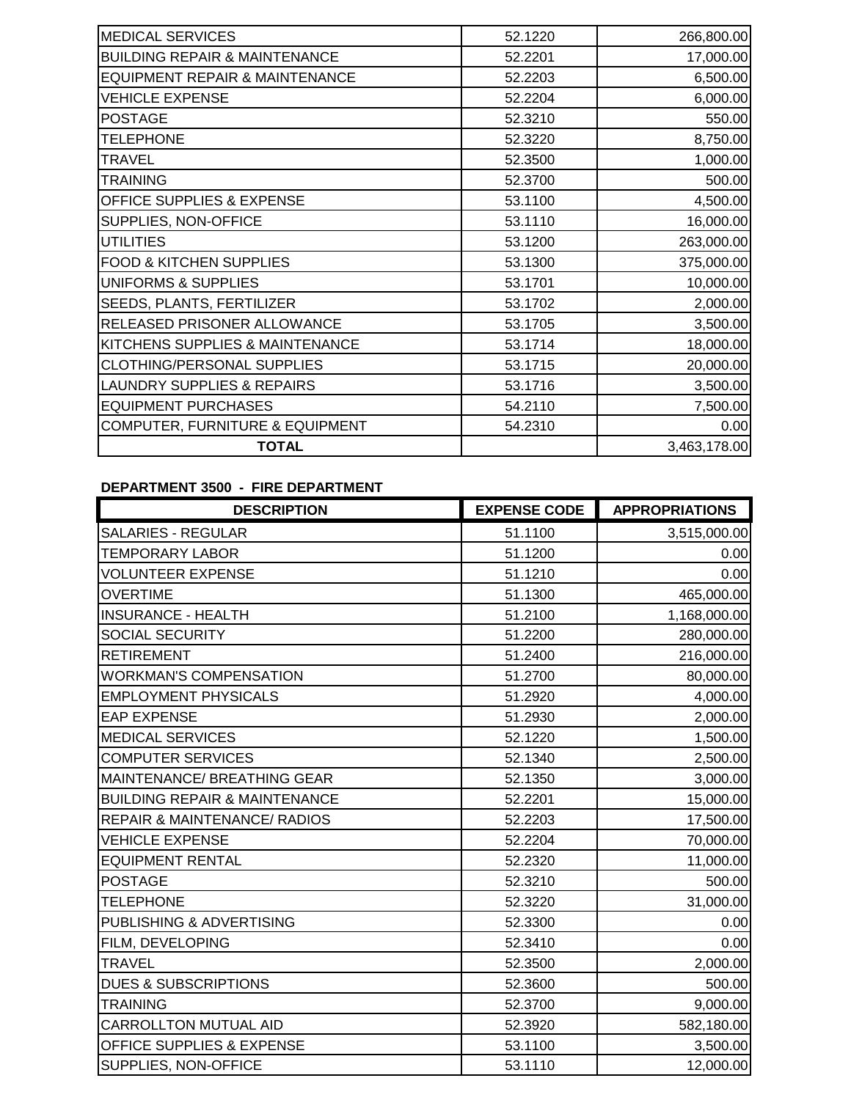| <b>MEDICAL SERVICES</b>                    | 52.1220 | 266,800.00   |
|--------------------------------------------|---------|--------------|
| <b>BUILDING REPAIR &amp; MAINTENANCE</b>   | 52.2201 | 17,000.00    |
| EQUIPMENT REPAIR & MAINTENANCE             | 52.2203 | 6,500.00     |
| <b>VEHICLE EXPENSE</b>                     | 52.2204 | 6,000.00     |
| <b>POSTAGE</b>                             | 52.3210 | 550.00       |
| <b>TELEPHONE</b>                           | 52.3220 | 8,750.00     |
| <b>TRAVEL</b>                              | 52.3500 | 1,000.00     |
| <b>TRAINING</b>                            | 52.3700 | 500.00       |
| OFFICE SUPPLIES & EXPENSE                  | 53.1100 | 4,500.00     |
| SUPPLIES, NON-OFFICE                       | 53.1110 | 16,000.00    |
| <b>UTILITIES</b>                           | 53.1200 | 263,000.00   |
| <b>FOOD &amp; KITCHEN SUPPLIES</b>         | 53.1300 | 375,000.00   |
| UNIFORMS & SUPPLIES                        | 53.1701 | 10,000.00    |
| SEEDS, PLANTS, FERTILIZER                  | 53.1702 | 2,000.00     |
| RELEASED PRISONER ALLOWANCE                | 53.1705 | 3,500.00     |
| KITCHENS SUPPLIES & MAINTENANCE            | 53.1714 | 18,000.00    |
| CLOTHING/PERSONAL SUPPLIES                 | 53.1715 | 20,000.00    |
| <b>LAUNDRY SUPPLIES &amp; REPAIRS</b>      | 53.1716 | 3,500.00     |
| <b>EQUIPMENT PURCHASES</b>                 | 54.2110 | 7,500.00     |
| <b>COMPUTER, FURNITURE &amp; EQUIPMENT</b> | 54.2310 | 0.00         |
| <b>TOTAL</b>                               |         | 3,463,178.00 |

# **DEPARTMENT 3500 - FIRE DEPARTMENT**

| <b>DESCRIPTION</b>                       | <b>EXPENSE CODE</b> | <b>APPROPRIATIONS</b> |
|------------------------------------------|---------------------|-----------------------|
| <b>SALARIES - REGULAR</b>                | 51.1100             | 3,515,000.00          |
| <b>TEMPORARY LABOR</b>                   | 51.1200             | 0.00                  |
| <b>VOLUNTEER EXPENSE</b>                 | 51.1210             | 0.00                  |
| <b>OVERTIME</b>                          | 51.1300             | 465,000.00            |
| <b>INSURANCE - HEALTH</b>                | 51.2100             | 1,168,000.00          |
| <b>SOCIAL SECURITY</b>                   | 51.2200             | 280,000.00            |
| <b>RETIREMENT</b>                        | 51.2400             | 216,000.00            |
| <b>WORKMAN'S COMPENSATION</b>            | 51.2700             | 80,000.00             |
| <b>EMPLOYMENT PHYSICALS</b>              | 51.2920             | 4,000.00              |
| <b>EAP EXPENSE</b>                       | 51.2930             | 2,000.00              |
| <b>MEDICAL SERVICES</b>                  | 52.1220             | 1,500.00              |
| <b>COMPUTER SERVICES</b>                 | 52.1340             | 2,500.00              |
| MAINTENANCE/ BREATHING GEAR              | 52.1350             | 3,000.00              |
| <b>BUILDING REPAIR &amp; MAINTENANCE</b> | 52.2201             | 15,000.00             |
| <b>REPAIR &amp; MAINTENANCE/ RADIOS</b>  | 52.2203             | 17,500.00             |
| <b>VEHICLE EXPENSE</b>                   | 52.2204             | 70,000.00             |
| <b>EQUIPMENT RENTAL</b>                  | 52.2320             | 11,000.00             |
| <b>POSTAGE</b>                           | 52.3210             | 500.00                |
| <b>TELEPHONE</b>                         | 52.3220             | 31,000.00             |
| PUBLISHING & ADVERTISING                 | 52.3300             | 0.00                  |
| FILM, DEVELOPING                         | 52.3410             | 0.00                  |
| <b>TRAVEL</b>                            | 52.3500             | 2,000.00              |
| <b>DUES &amp; SUBSCRIPTIONS</b>          | 52.3600             | 500.00                |
| <b>TRAINING</b>                          | 52.3700             | 9,000.00              |
| CARROLLTON MUTUAL AID                    | 52.3920             | 582,180.00            |
| OFFICE SUPPLIES & EXPENSE                | 53.1100             | 3,500.00              |
| SUPPLIES, NON-OFFICE                     | 53.1110             | 12,000.00             |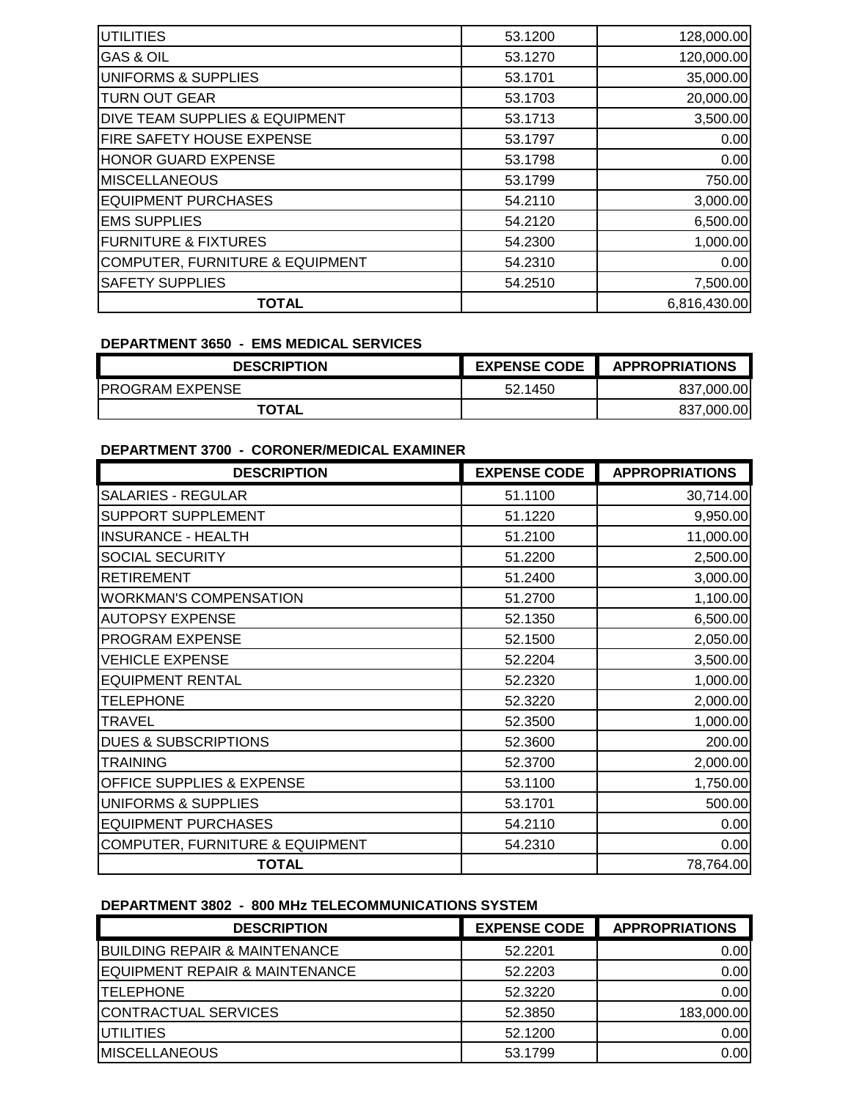| <b>UTILITIES</b>                           | 53.1200 | 128,000.00   |
|--------------------------------------------|---------|--------------|
| <b>GAS &amp; OIL</b>                       | 53.1270 | 120,000.00   |
| <b>UNIFORMS &amp; SUPPLIES</b>             | 53.1701 | 35,000.00    |
| <b>TURN OUT GEAR</b>                       | 53.1703 | 20,000.00    |
| <b>DIVE TEAM SUPPLIES &amp; EQUIPMENT</b>  | 53.1713 | 3,500.00     |
| <b>FIRE SAFETY HOUSE EXPENSE</b>           | 53.1797 | 0.00         |
| <b>HONOR GUARD EXPENSE</b>                 | 53.1798 | 0.00         |
| <b>MISCELLANEOUS</b>                       | 53.1799 | 750.00       |
| <b>EQUIPMENT PURCHASES</b>                 | 54.2110 | 3,000.00     |
| <b>EMS SUPPLIES</b>                        | 54.2120 | 6,500.00     |
| <b>FURNITURE &amp; FIXTURES</b>            | 54.2300 | 1,000.00     |
| <b>COMPUTER, FURNITURE &amp; EQUIPMENT</b> | 54.2310 | 0.00         |
| <b>SAFETY SUPPLIES</b>                     | 54.2510 | 7,500.00     |
| <b>TOTAL</b>                               |         | 6,816,430.00 |

### **DEPARTMENT 3650 - EMS MEDICAL SERVICES**

| <b>DESCRIPTION</b>     | <b>EXPENSE CODE</b> | <b>APPROPRIATIONS</b> |
|------------------------|---------------------|-----------------------|
| <b>PROGRAM EXPENSE</b> | 52.1450             | 837.000.00            |
| <b>TOTAL</b>           |                     | 837.000.00            |

## **DEPARTMENT 3700 - CORONER/MEDICAL EXAMINER**

| <b>DESCRIPTION</b>                         | <b>EXPENSE CODE</b> | <b>APPROPRIATIONS</b> |
|--------------------------------------------|---------------------|-----------------------|
| <b>SALARIES - REGULAR</b>                  | 51.1100             | 30,714.00             |
| SUPPORT SUPPLEMENT                         | 51.1220             | 9,950.00              |
| <b>INSURANCE - HEALTH</b>                  | 51.2100             | 11,000.00             |
| <b>SOCIAL SECURITY</b>                     | 51.2200             | 2,500.00              |
| <b>RETIREMENT</b>                          | 51.2400             | 3,000.00              |
| <b>WORKMAN'S COMPENSATION</b>              | 51.2700             | 1,100.00              |
| <b>AUTOPSY EXPENSE</b>                     | 52.1350             | 6,500.00              |
| <b>PROGRAM EXPENSE</b>                     | 52.1500             | 2,050.00              |
| <b>VEHICLE EXPENSE</b>                     | 52.2204             | 3,500.00              |
| <b>EQUIPMENT RENTAL</b>                    | 52.2320             | 1,000.00              |
| <b>TELEPHONE</b>                           | 52.3220             | 2,000.00              |
| <b>TRAVEL</b>                              | 52.3500             | 1,000.00              |
| <b>DUES &amp; SUBSCRIPTIONS</b>            | 52.3600             | 200.00                |
| <b>TRAINING</b>                            | 52.3700             | 2,000.00              |
| <b>OFFICE SUPPLIES &amp; EXPENSE</b>       | 53.1100             | 1,750.00              |
| UNIFORMS & SUPPLIES                        | 53.1701             | 500.00                |
| <b>EQUIPMENT PURCHASES</b>                 | 54.2110             | 0.00                  |
| <b>COMPUTER, FURNITURE &amp; EQUIPMENT</b> | 54.2310             | 0.00                  |
| <b>TOTAL</b>                               |                     | 78,764.00             |

# **DEPARTMENT 3802 - 800 MHz TELECOMMUNICATIONS SYSTEM**

| <b>DESCRIPTION</b>                       | <b>EXPENSE CODE</b> | <b>APPROPRIATIONS</b> |
|------------------------------------------|---------------------|-----------------------|
| <b>BUILDING REPAIR &amp; MAINTENANCE</b> | 52.2201             | 0.00                  |
| EQUIPMENT REPAIR & MAINTENANCE           | 52.2203             | 0.00                  |
| <b>ITELEPHONE</b>                        | 52.3220             | 0.00                  |
| CONTRACTUAL SERVICES                     | 52.3850             | 183,000.00            |
| IUTILITIES                               | 52.1200             | 0.00                  |
| <b>IMISCELLANEOUS</b>                    | 53.1799             | 0.00                  |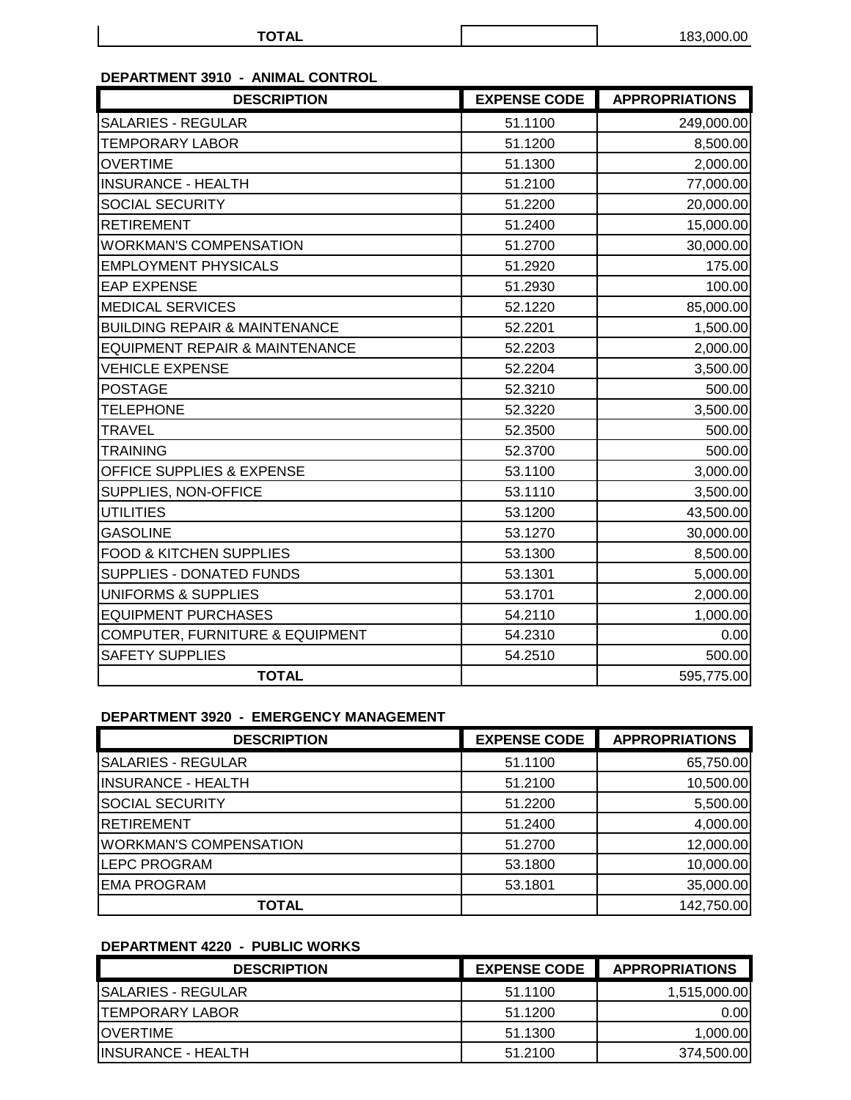| TOTA'<br>$\sim$ $\sim$ $\sim$ | 183,000.00 |
|-------------------------------|------------|
|-------------------------------|------------|

# **DEPARTMENT 3910 - ANIMAL CONTROL**

| <b>DESCRIPTION</b>                         | <b>EXPENSE CODE</b> | <b>APPROPRIATIONS</b> |
|--------------------------------------------|---------------------|-----------------------|
| <b>SALARIES - REGULAR</b>                  | 51.1100             | 249,000.00            |
| <b>TEMPORARY LABOR</b>                     | 51.1200             | 8,500.00              |
| <b>OVERTIME</b>                            | 51.1300             | 2,000.00              |
| <b>INSURANCE - HEALTH</b>                  | 51.2100             | 77,000.00             |
| <b>SOCIAL SECURITY</b>                     | 51.2200             | 20,000.00             |
| <b>RETIREMENT</b>                          | 51.2400             | 15,000.00             |
| <b>WORKMAN'S COMPENSATION</b>              | 51.2700             | 30,000.00             |
| <b>EMPLOYMENT PHYSICALS</b>                | 51.2920             | 175.00                |
| <b>EAP EXPENSE</b>                         | 51.2930             | 100.00                |
| <b>MEDICAL SERVICES</b>                    | 52.1220             | 85,000.00             |
| <b>BUILDING REPAIR &amp; MAINTENANCE</b>   | 52.2201             | 1,500.00              |
| <b>EQUIPMENT REPAIR &amp; MAINTENANCE</b>  | 52.2203             | 2,000.00              |
| <b>VEHICLE EXPENSE</b>                     | 52.2204             | 3,500.00              |
| <b>POSTAGE</b>                             | 52.3210             | 500.00                |
| <b>TELEPHONE</b>                           | 52.3220             | 3,500.00              |
| <b>TRAVEL</b>                              | 52.3500             | 500.00                |
| <b>TRAINING</b>                            | 52.3700             | 500.00                |
| OFFICE SUPPLIES & EXPENSE                  | 53.1100             | 3,000.00              |
| SUPPLIES, NON-OFFICE                       | 53.1110             | 3,500.00              |
| <b>UTILITIES</b>                           | 53.1200             | 43,500.00             |
| <b>GASOLINE</b>                            | 53.1270             | 30,000.00             |
| FOOD & KITCHEN SUPPLIES                    | 53.1300             | 8,500.00              |
| <b>SUPPLIES - DONATED FUNDS</b>            | 53.1301             | 5,000.00              |
| <b>UNIFORMS &amp; SUPPLIES</b>             | 53.1701             | 2,000.00              |
| <b>EQUIPMENT PURCHASES</b>                 | 54.2110             | 1,000.00              |
| <b>COMPUTER, FURNITURE &amp; EQUIPMENT</b> | 54.2310             | 0.00                  |
| <b>SAFETY SUPPLIES</b>                     | 54.2510             | 500.00                |
| <b>TOTAL</b>                               |                     | 595,775.00            |

## **DEPARTMENT 3920 - EMERGENCY MANAGEMENT**

| <b>DESCRIPTION</b>            | <b>EXPENSE CODE</b> | <b>APPROPRIATIONS</b> |
|-------------------------------|---------------------|-----------------------|
| <b>SALARIES - REGULAR</b>     | 51.1100             | 65,750.00             |
| <b>INSURANCE - HEALTH</b>     | 51.2100             | 10,500.00             |
| <b>SOCIAL SECURITY</b>        | 51.2200             | 5,500.00              |
| RETIREMENT                    | 51.2400             | 4,000.00              |
| <b>WORKMAN'S COMPENSATION</b> | 51.2700             | 12,000.00             |
| <b>LEPC PROGRAM</b>           | 53.1800             | 10,000.00             |
| <b>EMA PROGRAM</b>            | 53.1801             | 35,000.00             |
| TOTAL                         |                     | 142,750.00            |

# **DEPARTMENT 4220 - PUBLIC WORKS**

| <b>DESCRIPTION</b>         | <b>EXPENSE CODE</b> | <b>APPROPRIATIONS</b> |
|----------------------------|---------------------|-----------------------|
| ISALARIES - REGULAR        | 51.1100             | 1,515,000.00          |
| <b>TEMPORARY LABOR</b>     | 51.1200             | 0.001                 |
| <b>IOVERTIME</b>           | 51.1300             | 1,000.00              |
| <b>IINSURANCE - HEALTH</b> | 51.2100             | 374,500.00            |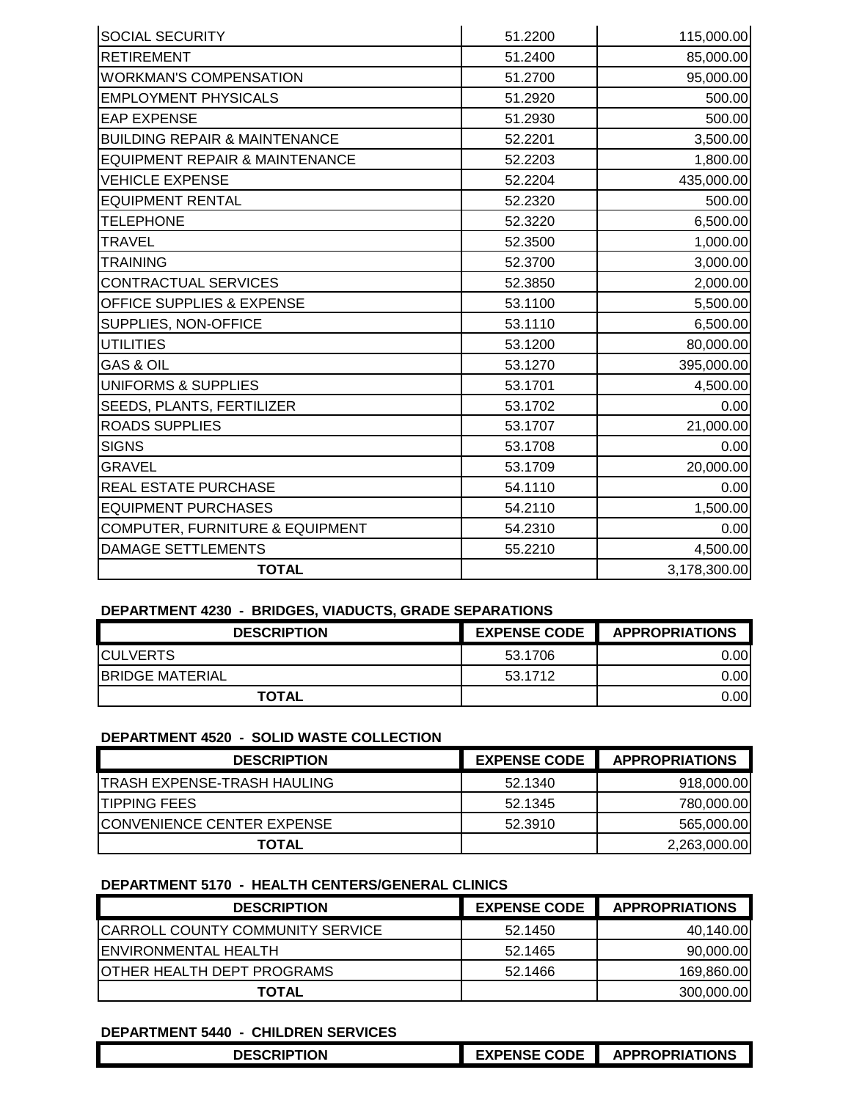| <b>SOCIAL SECURITY</b>                     | 51.2200 | 115,000.00   |
|--------------------------------------------|---------|--------------|
| <b>RETIREMENT</b>                          | 51.2400 | 85,000.00    |
| <b>WORKMAN'S COMPENSATION</b>              | 51.2700 | 95,000.00    |
| <b>EMPLOYMENT PHYSICALS</b>                | 51.2920 | 500.00       |
| <b>EAP EXPENSE</b>                         | 51.2930 | 500.00       |
| <b>BUILDING REPAIR &amp; MAINTENANCE</b>   | 52.2201 | 3,500.00     |
| <b>EQUIPMENT REPAIR &amp; MAINTENANCE</b>  | 52.2203 | 1,800.00     |
| <b>VEHICLE EXPENSE</b>                     | 52.2204 | 435,000.00   |
| <b>EQUIPMENT RENTAL</b>                    | 52.2320 | 500.00       |
| <b>TELEPHONE</b>                           | 52.3220 | 6,500.00     |
| <b>TRAVEL</b>                              | 52.3500 | 1,000.00     |
| <b>TRAINING</b>                            | 52.3700 | 3,000.00     |
| <b>CONTRACTUAL SERVICES</b>                | 52.3850 | 2,000.00     |
| <b>OFFICE SUPPLIES &amp; EXPENSE</b>       | 53.1100 | 5,500.00     |
| SUPPLIES, NON-OFFICE                       | 53.1110 | 6,500.00     |
| <b>UTILITIES</b>                           | 53.1200 | 80,000.00    |
| <b>GAS &amp; OIL</b>                       | 53.1270 | 395,000.00   |
| UNIFORMS & SUPPLIES                        | 53.1701 | 4,500.00     |
| <b>SEEDS, PLANTS, FERTILIZER</b>           | 53.1702 | 0.00         |
| <b>ROADS SUPPLIES</b>                      | 53.1707 | 21,000.00    |
| <b>SIGNS</b>                               | 53.1708 | 0.00         |
| <b>GRAVEL</b>                              | 53.1709 | 20,000.00    |
| <b>REAL ESTATE PURCHASE</b>                | 54.1110 | 0.00         |
| <b>EQUIPMENT PURCHASES</b>                 | 54.2110 | 1,500.00     |
| <b>COMPUTER, FURNITURE &amp; EQUIPMENT</b> | 54.2310 | 0.00         |
| <b>DAMAGE SETTLEMENTS</b>                  | 55.2210 | 4,500.00     |
| <b>TOTAL</b>                               |         | 3,178,300.00 |

### **DEPARTMENT 4230 - BRIDGES, VIADUCTS, GRADE SEPARATIONS**

| <b>DESCRIPTION</b>      | <b>EXPENSE CODE</b> | <b>APPROPRIATIONS</b> |
|-------------------------|---------------------|-----------------------|
| <b>ICULVERTS</b>        | 53.1706             | 0.00                  |
| <b>IBRIDGE MATERIAL</b> | 53.1712             | 0.00                  |
| <b>TOTAL</b>            |                     | 0.00                  |

#### **DEPARTMENT 4520 - SOLID WASTE COLLECTION**

| <b>DESCRIPTION</b>                | <b>EXPENSE CODE</b> | <b>APPROPRIATIONS</b> |
|-----------------------------------|---------------------|-----------------------|
| TRASH EXPENSE-TRASH HAULING       | 52.1340             | 918,000.00            |
| <b>ITIPPING FEES</b>              | 52.1345             | 780,000.00            |
| <b>CONVENIENCE CENTER EXPENSE</b> | 52,3910             | 565,000.00            |
| <b>TOTAL</b>                      |                     | 2,263,000.00          |

### **DEPARTMENT 5170 - HEALTH CENTERS/GENERAL CLINICS**

| <b>DESCRIPTION</b>                      | <b>EXPENSE CODE</b> | <b>APPROPRIATIONS</b> |
|-----------------------------------------|---------------------|-----------------------|
| <b>CARROLL COUNTY COMMUNITY SERVICE</b> | 52.1450             | 40,140.00             |
| <b>IENVIRONMENTAL HEALTH</b>            | 52.1465             | 90,000.00             |
| IOTHER HEALTH DEPT PROGRAMS             | 52.1466             | 169,860.00            |
| TOTAL                                   |                     | 300,000.00            |

## **DEPARTMENT 5440 - CHILDREN SERVICES**

| <b>EXPENSE CODE</b><br><b>DESCRIPTION</b> | <b>APPROPRIATIONS</b> |
|-------------------------------------------|-----------------------|
|-------------------------------------------|-----------------------|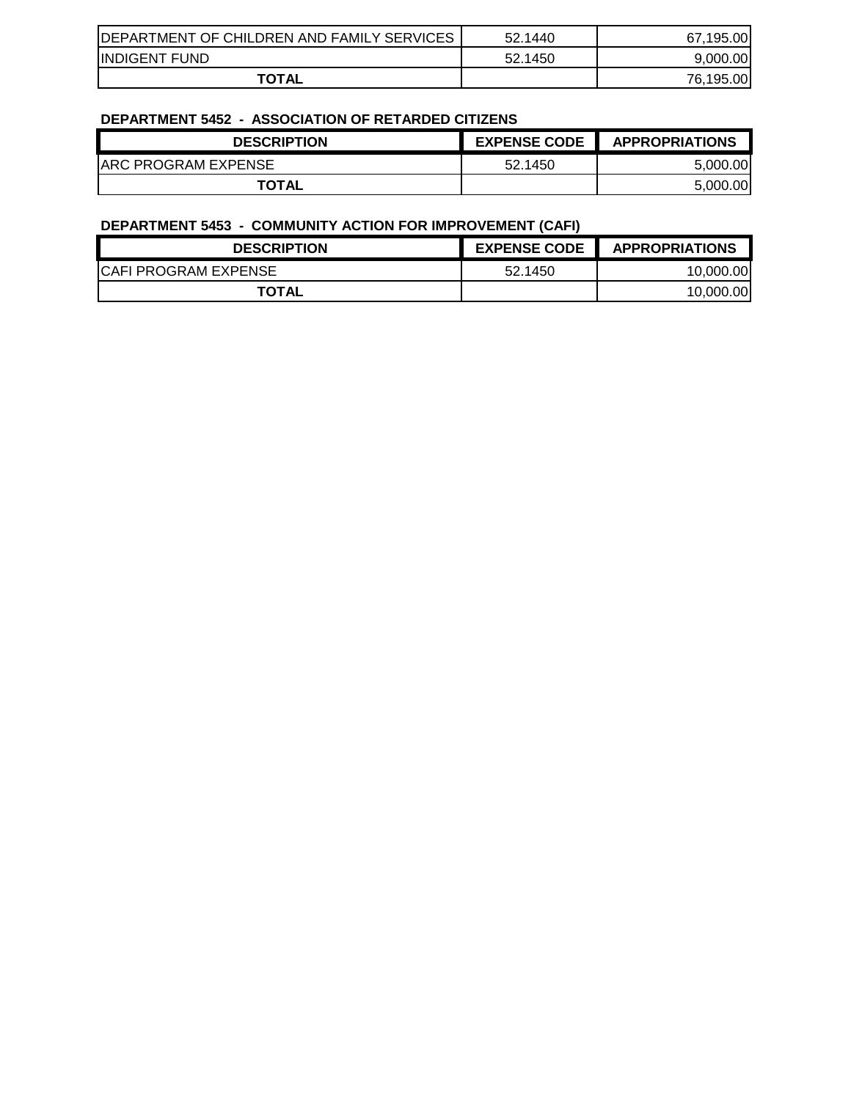| <b>IDEPARTMENT OF CHILDREN AND FAMILY SERVICES</b> | 52.1440 | 67.195.00 |
|----------------------------------------------------|---------|-----------|
| <b>INDIGENT FUND</b>                               | 52.1450 | 9.000.00  |
| <b>TOTAL</b>                                       |         | 76.195.00 |

### **DEPARTMENT 5452 - ASSOCIATION OF RETARDED CITIZENS**

| $P = I H \cup I H = I \cup I \cup I$<br>AUUUUMIIUI UI INLIANULD UIIILLIV |                     |                       |
|--------------------------------------------------------------------------|---------------------|-----------------------|
| <b>DESCRIPTION</b>                                                       | <b>EXPENSE CODE</b> | <b>APPROPRIATIONS</b> |
| <b>JARC PROGRAM EXPENSE</b>                                              | 52.1450             | 5.000.00              |
| <b>TOTAL</b>                                                             |                     | 5,000.00              |

## **DEPARTMENT 5453 - COMMUNITY ACTION FOR IMPROVEMENT (CAFI)**

| <b>DESCRIPTION</b>          | <b>EXPENSE CODE</b> | <b>APPROPRIATIONS</b> |
|-----------------------------|---------------------|-----------------------|
| <b>CAFI PROGRAM EXPENSE</b> | 52.1450             | 10.000.00             |
| <b>TOTAL</b>                |                     | 10.000.00             |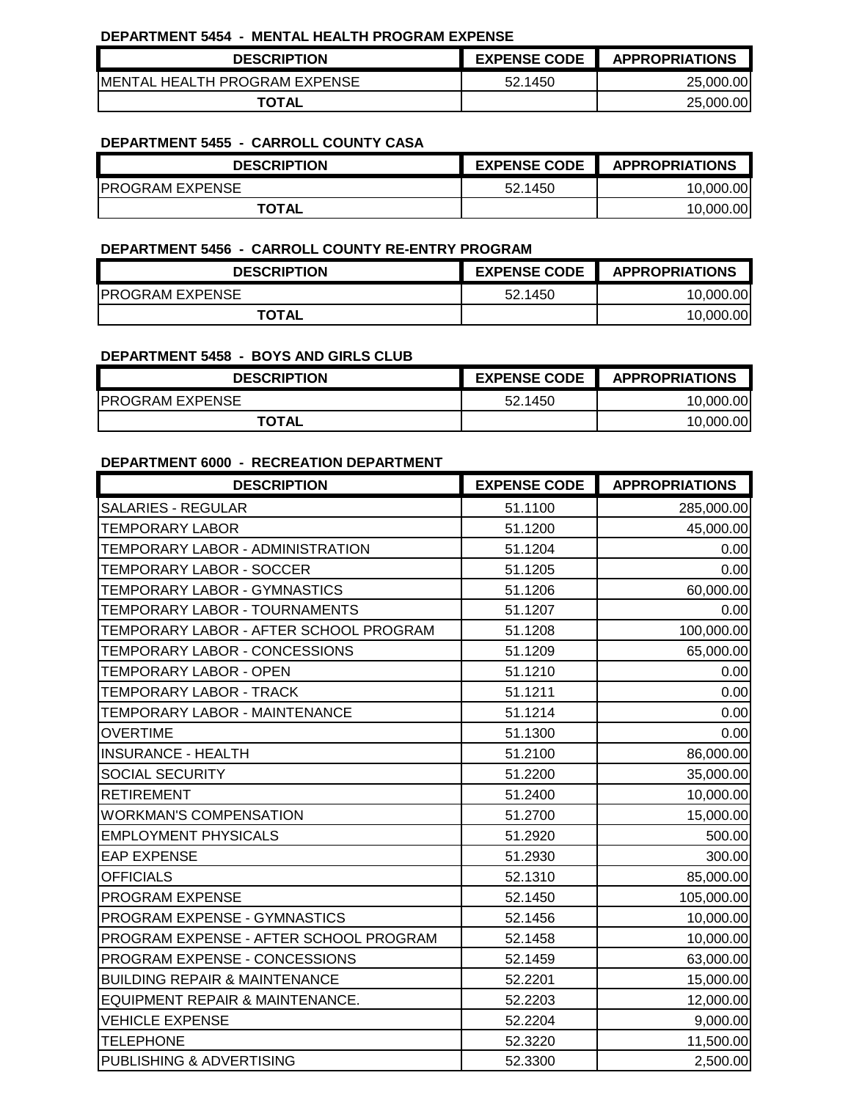#### **DEPARTMENT 5454 - MENTAL HEALTH PROGRAM EXPENSE**

| <b>DESCRIPTION</b>             | <b>EXPENSE CODE</b> | <b>APPROPRIATIONS</b> |
|--------------------------------|---------------------|-----------------------|
| IMENTAL HEALTH PROGRAM EXPENSE | 52.1450             | 25,000.00             |
| <b>TOTAL</b>                   |                     | 25,000.00             |

### **DEPARTMENT 5455 - CARROLL COUNTY CASA**

| <b>DESCRIPTION</b>      | <b>EXPENSE CODE</b> | <b>APPROPRIATIONS</b> |
|-------------------------|---------------------|-----------------------|
| <b>IPROGRAM EXPENSE</b> | 52.1450             | 10.000.00             |
| <b>TOTAL</b>            |                     | 10.000.00             |

#### **DEPARTMENT 5456 - CARROLL COUNTY RE-ENTRY PROGRAM**

| <b>DESCRIPTION</b>      | <b>EXPENSE CODE</b> | <b>APPROPRIATIONS</b> |
|-------------------------|---------------------|-----------------------|
| <b>IPROGRAM EXPENSE</b> | 52.1450             | 10.000.00             |
| <b>TOTAL</b>            |                     | 10.000.00             |

#### **DEPARTMENT 5458 - BOYS AND GIRLS CLUB**

| <b>DESCRIPTION</b>     | <b>EXPENSE CODE</b> | <b>APPROPRIATIONS</b> |
|------------------------|---------------------|-----------------------|
| <b>PROGRAM EXPENSE</b> | 52.1450             | 10,000.00             |
| <b>TOTAL</b>           |                     | 10,000.00             |

#### **DEPARTMENT 6000 - RECREATION DEPARTMENT**

| <b>DESCRIPTION</b>                       | <b>EXPENSE CODE</b> | <b>APPROPRIATIONS</b> |
|------------------------------------------|---------------------|-----------------------|
| <b>SALARIES - REGULAR</b>                | 51.1100             | 285,000.00            |
| <b>TEMPORARY LABOR</b>                   | 51.1200             | 45,000.00             |
| TEMPORARY LABOR - ADMINISTRATION         | 51.1204             | 0.00                  |
| TEMPORARY LABOR - SOCCER                 | 51.1205             | 0.00                  |
| TEMPORARY LABOR - GYMNASTICS             | 51.1206             | 60,000.00             |
| TEMPORARY LABOR - TOURNAMENTS            | 51.1207             | 0.00                  |
| TEMPORARY LABOR - AFTER SCHOOL PROGRAM   | 51.1208             | 100,000.00            |
| TEMPORARY LABOR - CONCESSIONS            | 51.1209             | 65,000.00             |
| TEMPORARY LABOR - OPEN                   | 51.1210             | 0.00                  |
| TEMPORARY LABOR - TRACK                  | 51.1211             | 0.00                  |
| TEMPORARY LABOR - MAINTENANCE            | 51.1214             | 0.00                  |
| <b>OVERTIME</b>                          | 51.1300             | 0.00                  |
| <b>INSURANCE - HEALTH</b>                | 51.2100             | 86,000.00             |
| SOCIAL SECURITY                          | 51.2200             | 35,000.00             |
| <b>RETIREMENT</b>                        | 51.2400             | 10,000.00             |
| <b>WORKMAN'S COMPENSATION</b>            | 51.2700             | 15,000.00             |
| <b>EMPLOYMENT PHYSICALS</b>              | 51.2920             | 500.00                |
| <b>EAP EXPENSE</b>                       | 51.2930             | 300.00                |
| <b>OFFICIALS</b>                         | 52.1310             | 85,000.00             |
| PROGRAM EXPENSE                          | 52.1450             | 105,000.00            |
| PROGRAM EXPENSE - GYMNASTICS             | 52.1456             | 10,000.00             |
| PROGRAM EXPENSE - AFTER SCHOOL PROGRAM   | 52.1458             | 10,000.00             |
| PROGRAM EXPENSE - CONCESSIONS            | 52.1459             | 63,000.00             |
| <b>BUILDING REPAIR &amp; MAINTENANCE</b> | 52.2201             | 15,000.00             |
| EQUIPMENT REPAIR & MAINTENANCE.          | 52.2203             | 12,000.00             |
| <b>VEHICLE EXPENSE</b>                   | 52.2204             | 9,000.00              |
| <b>TELEPHONE</b>                         | 52.3220             | 11,500.00             |
| PUBLISHING & ADVERTISING                 | 52.3300             | 2,500.00              |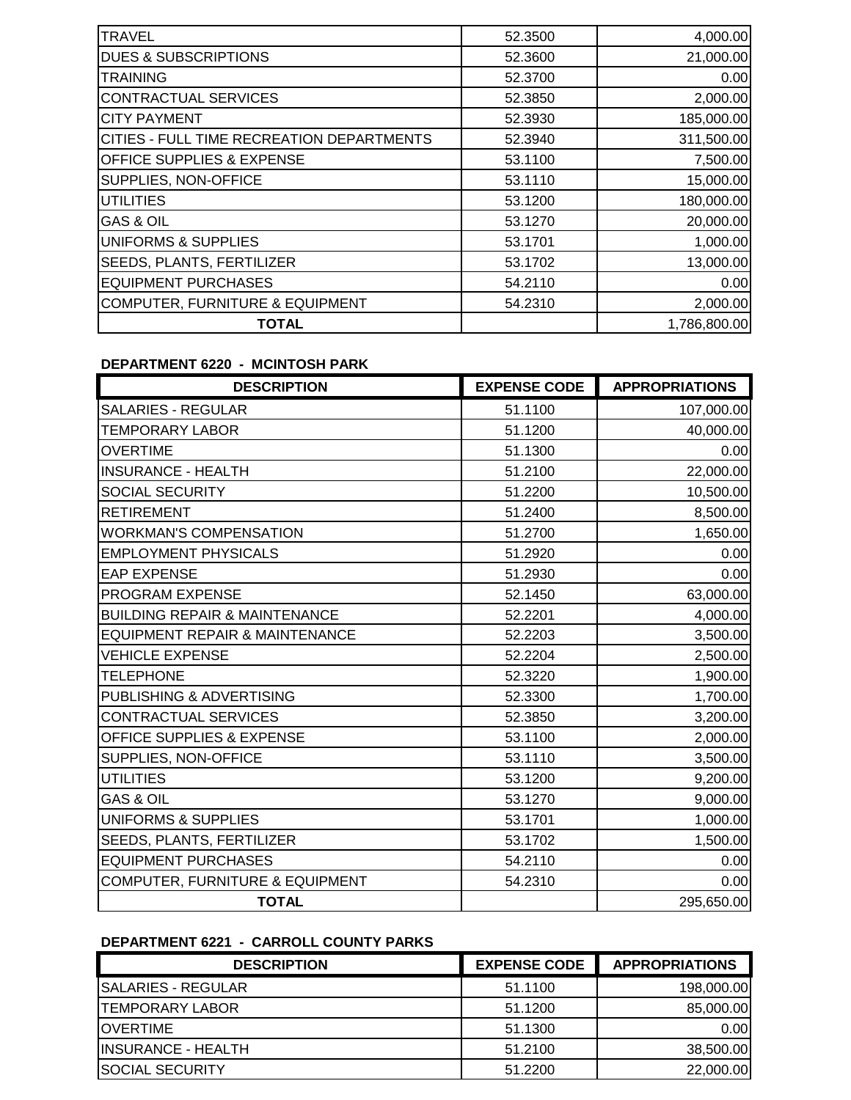| <b>TRAVEL</b>                                    | 52.3500 | 4,000.00     |
|--------------------------------------------------|---------|--------------|
| <b>DUES &amp; SUBSCRIPTIONS</b>                  | 52.3600 | 21,000.00    |
| <b>TRAINING</b>                                  | 52.3700 | 0.00         |
| CONTRACTUAL SERVICES                             | 52.3850 | 2,000.00     |
| <b>CITY PAYMENT</b>                              | 52.3930 | 185,000.00   |
| <b>CITIES - FULL TIME RECREATION DEPARTMENTS</b> | 52.3940 | 311,500.00   |
| <b>OFFICE SUPPLIES &amp; EXPENSE</b>             | 53.1100 | 7,500.00     |
| SUPPLIES, NON-OFFICE                             | 53.1110 | 15,000.00    |
| <b>UTILITIES</b>                                 | 53.1200 | 180,000.00   |
| <b>GAS &amp; OIL</b>                             | 53.1270 | 20,000.00    |
| UNIFORMS & SUPPLIES                              | 53.1701 | 1,000.00     |
| <b>SEEDS, PLANTS, FERTILIZER</b>                 | 53.1702 | 13,000.00    |
| <b>EQUIPMENT PURCHASES</b>                       | 54.2110 | 0.00         |
| <b>COMPUTER, FURNITURE &amp; EQUIPMENT</b>       | 54.2310 | 2,000.00     |
| <b>TOTAL</b>                                     |         | 1,786,800.00 |

#### **DEPARTMENT 6220 - MCINTOSH PARK**

| <b>DESCRIPTION</b>                        | <b>EXPENSE CODE</b> | <b>APPROPRIATIONS</b> |
|-------------------------------------------|---------------------|-----------------------|
| <b>SALARIES - REGULAR</b>                 | 51.1100             | 107,000.00            |
| <b>TEMPORARY LABOR</b>                    | 51.1200             | 40,000.00             |
| <b>OVERTIME</b>                           | 51.1300             | 0.00                  |
| <b>INSURANCE - HEALTH</b>                 | 51.2100             | 22,000.00             |
| <b>SOCIAL SECURITY</b>                    | 51.2200             | 10,500.00             |
| <b>RETIREMENT</b>                         | 51.2400             | 8,500.00              |
| <b>WORKMAN'S COMPENSATION</b>             | 51.2700             | 1,650.00              |
| <b>EMPLOYMENT PHYSICALS</b>               | 51.2920             | 0.00                  |
| <b>EAP EXPENSE</b>                        | 51.2930             | 0.00                  |
| <b>PROGRAM EXPENSE</b>                    | 52.1450             | 63,000.00             |
| <b>BUILDING REPAIR &amp; MAINTENANCE</b>  | 52.2201             | 4,000.00              |
| <b>EQUIPMENT REPAIR &amp; MAINTENANCE</b> | 52.2203             | 3,500.00              |
| <b>VEHICLE EXPENSE</b>                    | 52.2204             | 2,500.00              |
| <b>TELEPHONE</b>                          | 52.3220             | 1,900.00              |
| PUBLISHING & ADVERTISING                  | 52.3300             | 1,700.00              |
| <b>CONTRACTUAL SERVICES</b>               | 52.3850             | 3,200.00              |
| <b>OFFICE SUPPLIES &amp; EXPENSE</b>      | 53.1100             | 2,000.00              |
| SUPPLIES, NON-OFFICE                      | 53.1110             | 3,500.00              |
| <b>UTILITIES</b>                          | 53.1200             | 9,200.00              |
| <b>GAS &amp; OIL</b>                      | 53.1270             | 9,000.00              |
| <b>UNIFORMS &amp; SUPPLIES</b>            | 53.1701             | 1,000.00              |
| SEEDS, PLANTS, FERTILIZER                 | 53.1702             | 1,500.00              |
| <b>EQUIPMENT PURCHASES</b>                | 54.2110             | 0.00                  |
| COMPUTER, FURNITURE & EQUIPMENT           | 54.2310             | 0.00                  |
| <b>TOTAL</b>                              |                     | 295,650.00            |

# **DEPARTMENT 6221 - CARROLL COUNTY PARKS**

| <b>DESCRIPTION</b>        | <b>EXPENSE CODE</b> | <b>APPROPRIATIONS</b> |
|---------------------------|---------------------|-----------------------|
| <b>SALARIES - REGULAR</b> | 51.1100             | 198,000.00            |
| <b>TEMPORARY LABOR</b>    | 51.1200             | 85,000.00             |
| <b>IOVERTIME</b>          | 51.1300             | 0.00                  |
| IINSURANCE - HEALTH       | 51.2100             | 38,500.00             |
| <b>SOCIAL SECURITY</b>    | 51.2200             | 22,000.00             |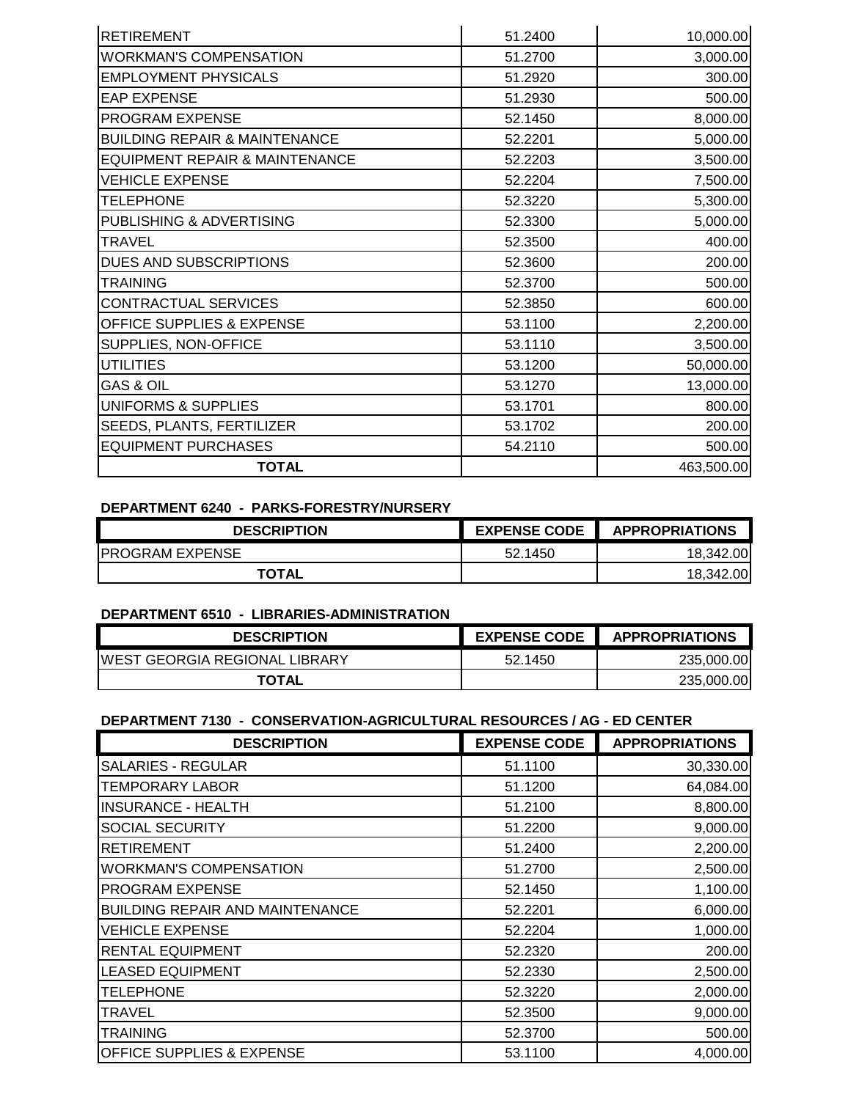| <b>RETIREMENT</b>                         | 51.2400 | 10,000.00  |
|-------------------------------------------|---------|------------|
| <b>WORKMAN'S COMPENSATION</b>             | 51.2700 | 3,000.00   |
| <b>EMPLOYMENT PHYSICALS</b>               | 51.2920 | 300.00     |
| <b>EAP EXPENSE</b>                        | 51.2930 | 500.00     |
| <b>PROGRAM EXPENSE</b>                    | 52.1450 | 8,000.00   |
| <b>BUILDING REPAIR &amp; MAINTENANCE</b>  | 52.2201 | 5,000.00   |
| <b>EQUIPMENT REPAIR &amp; MAINTENANCE</b> | 52.2203 | 3,500.00   |
| <b>VEHICLE EXPENSE</b>                    | 52.2204 | 7,500.00   |
| <b>TELEPHONE</b>                          | 52.3220 | 5,300.00   |
| PUBLISHING & ADVERTISING                  | 52.3300 | 5,000.00   |
| <b>TRAVEL</b>                             | 52.3500 | 400.00     |
| <b>DUES AND SUBSCRIPTIONS</b>             | 52.3600 | 200.00     |
| <b>TRAINING</b>                           | 52.3700 | 500.00     |
| <b>CONTRACTUAL SERVICES</b>               | 52.3850 | 600.00     |
| <b>OFFICE SUPPLIES &amp; EXPENSE</b>      | 53.1100 | 2,200.00   |
| SUPPLIES, NON-OFFICE                      | 53.1110 | 3,500.00   |
| <b>UTILITIES</b>                          | 53.1200 | 50,000.00  |
| <b>GAS &amp; OIL</b>                      | 53.1270 | 13,000.00  |
| UNIFORMS & SUPPLIES                       | 53.1701 | 800.00     |
| <b>SEEDS, PLANTS, FERTILIZER</b>          | 53.1702 | 200.00     |
| <b>EQUIPMENT PURCHASES</b>                | 54.2110 | 500.00     |
| <b>TOTAL</b>                              |         | 463,500.00 |

### **DEPARTMENT 6240 - PARKS-FORESTRY/NURSERY**

| <b>DESCRIPTION</b>      | <b>EXPENSE CODE</b> | <b>APPROPRIATIONS</b> |
|-------------------------|---------------------|-----------------------|
| <b>IPROGRAM EXPENSE</b> | 52.1450             | 18.342.00             |
| <b>TOTAL</b>            |                     | 18,342.00             |

#### **DEPARTMENT 6510 - LIBRARIES-ADMINISTRATION**

| <b>DESCRIPTION</b>                    | <b>EXPENSE CODE</b> | <b>APPROPRIATIONS</b> |
|---------------------------------------|---------------------|-----------------------|
| <b>IWEST GEORGIA REGIONAL LIBRARY</b> | 52.1450             | 235,000.00            |
| <b>TOTAL</b>                          |                     | 235,000.00            |

# **DEPARTMENT 7130 - CONSERVATION-AGRICULTURAL RESOURCES / AG - ED CENTER**

| <b>DESCRIPTION</b>                     | <b>EXPENSE CODE</b> | <b>APPROPRIATIONS</b> |
|----------------------------------------|---------------------|-----------------------|
| <b>SALARIES - REGULAR</b>              | 51.1100             | 30,330.00             |
| <b>TEMPORARY LABOR</b>                 | 51.1200             | 64,084.00             |
| <b>INSURANCE - HEALTH</b>              | 51.2100             | 8,800.00              |
| SOCIAL SECURITY                        | 51.2200             | 9,000.00              |
| <b>RETIREMENT</b>                      | 51.2400             | 2,200.00              |
| <b>WORKMAN'S COMPENSATION</b>          | 51.2700             | 2,500.00              |
| PROGRAM EXPENSE                        | 52.1450             | 1,100.00              |
| <b>BUILDING REPAIR AND MAINTENANCE</b> | 52.2201             | 6,000.00              |
| <b>VEHICLE EXPENSE</b>                 | 52.2204             | 1,000.00              |
| <b>RENTAL EQUIPMENT</b>                | 52.2320             | 200.00                |
| <b>LEASED EQUIPMENT</b>                | 52.2330             | 2,500.00              |
| TELEPHONE                              | 52.3220             | 2,000.00              |
| TRAVEL                                 | 52.3500             | 9,000.00              |
| TRAINING                               | 52,3700             | 500.00                |
| <b>OFFICE SUPPLIES &amp; EXPENSE</b>   | 53.1100             | 4,000.00              |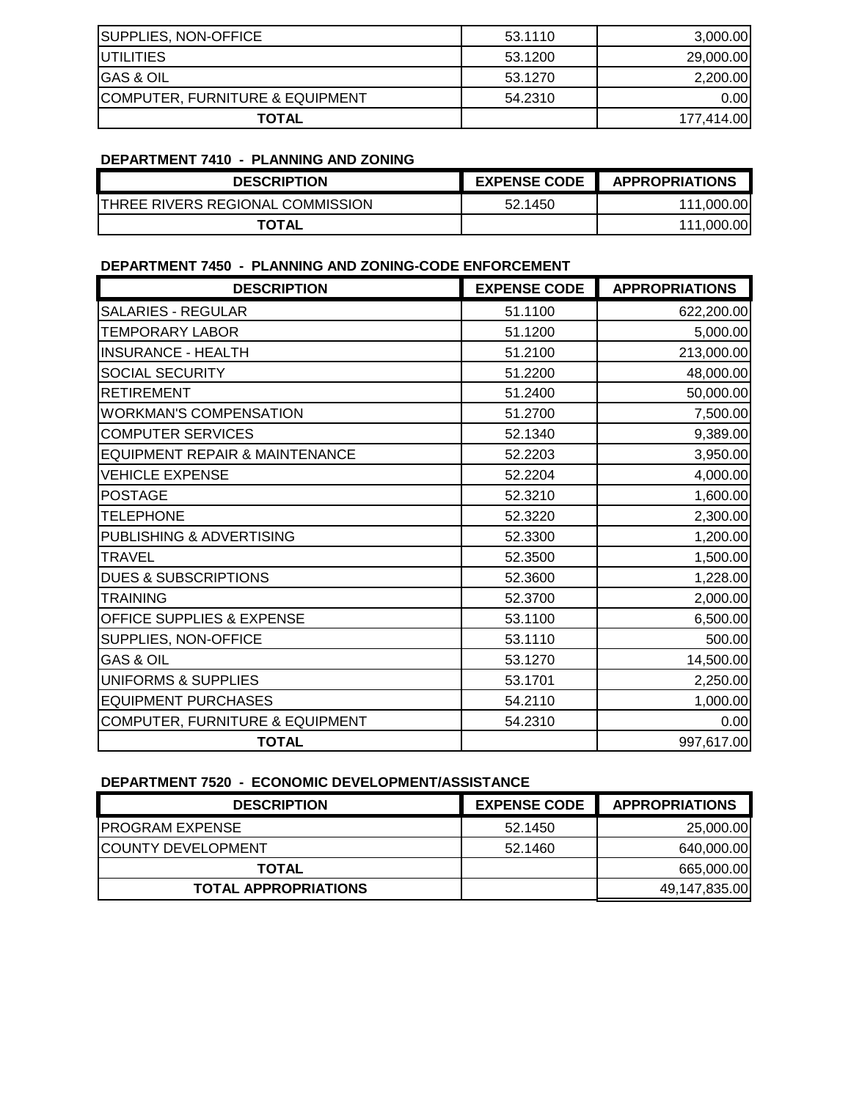| SUPPLIES, NON-OFFICE                       | 53.1110 | 3,000.00   |
|--------------------------------------------|---------|------------|
| <b>IUTILITIES</b>                          | 53.1200 | 29,000.00  |
| <b>GAS &amp; OIL</b>                       | 53.1270 | 2,200.00   |
| <b>COMPUTER, FURNITURE &amp; EQUIPMENT</b> | 54.2310 | 0.001      |
| <b>TOTAL</b>                               |         | 177.414.00 |

#### **DEPARTMENT 7410 - PLANNING AND ZONING**

| <b>DESCRIPTION</b>                       | <b>EXPENSE CODE</b> | <b>APPROPRIATIONS</b> |
|------------------------------------------|---------------------|-----------------------|
| <b>ITHREE RIVERS REGIONAL COMMISSION</b> | 52.1450             | 111.000.<br>.00I      |
| <b>TOTAL</b>                             |                     | 00I<br>111.000.       |

#### **DEPARTMENT 7450 - PLANNING AND ZONING-CODE ENFORCEMENT**

| <b>DESCRIPTION</b>                         | <b>EXPENSE CODE</b> | <b>APPROPRIATIONS</b> |
|--------------------------------------------|---------------------|-----------------------|
| <b>SALARIES - REGULAR</b>                  | 51.1100             | 622,200.00            |
| <b>TEMPORARY LABOR</b>                     | 51.1200             | 5,000.00              |
| <b>INSURANCE - HEALTH</b>                  | 51.2100             | 213,000.00            |
| <b>SOCIAL SECURITY</b>                     | 51.2200             | 48,000.00             |
| <b>RETIREMENT</b>                          | 51.2400             | 50,000.00             |
| <b>WORKMAN'S COMPENSATION</b>              | 51.2700             | 7,500.00              |
| <b>COMPUTER SERVICES</b>                   | 52.1340             | 9,389.00              |
| EQUIPMENT REPAIR & MAINTENANCE             | 52.2203             | 3,950.00              |
| <b>VEHICLE EXPENSE</b>                     | 52.2204             | 4,000.00              |
| <b>POSTAGE</b>                             | 52.3210             | 1,600.00              |
| <b>TELEPHONE</b>                           | 52.3220             | 2,300.00              |
| PUBLISHING & ADVERTISING                   | 52.3300             | 1,200.00              |
| <b>TRAVEL</b>                              | 52.3500             | 1,500.00              |
| <b>DUES &amp; SUBSCRIPTIONS</b>            | 52.3600             | 1,228.00              |
| <b>TRAINING</b>                            | 52.3700             | 2,000.00              |
| OFFICE SUPPLIES & EXPENSE                  | 53.1100             | 6,500.00              |
| SUPPLIES, NON-OFFICE                       | 53.1110             | 500.00                |
| <b>GAS &amp; OIL</b>                       | 53.1270             | 14,500.00             |
| UNIFORMS & SUPPLIES                        | 53.1701             | 2,250.00              |
| <b>EQUIPMENT PURCHASES</b>                 | 54.2110             | 1,000.00              |
| <b>COMPUTER, FURNITURE &amp; EQUIPMENT</b> | 54.2310             | 0.00                  |
| <b>TOTAL</b>                               |                     | 997,617.00            |

#### **DEPARTMENT 7520 - ECONOMIC DEVELOPMENT/ASSISTANCE**

| <b>DESCRIPTION</b>          | <b>EXPENSE CODE</b> | <b>APPROPRIATIONS</b> |
|-----------------------------|---------------------|-----------------------|
| <b>IPROGRAM EXPENSE</b>     | 52.1450             | 25,000.00             |
| <b>ICOUNTY DEVELOPMENT</b>  | 52.1460             | 640,000.00            |
| <b>TOTAL</b>                |                     | 665,000.00            |
| <b>TOTAL APPROPRIATIONS</b> |                     | 49,147,835.00         |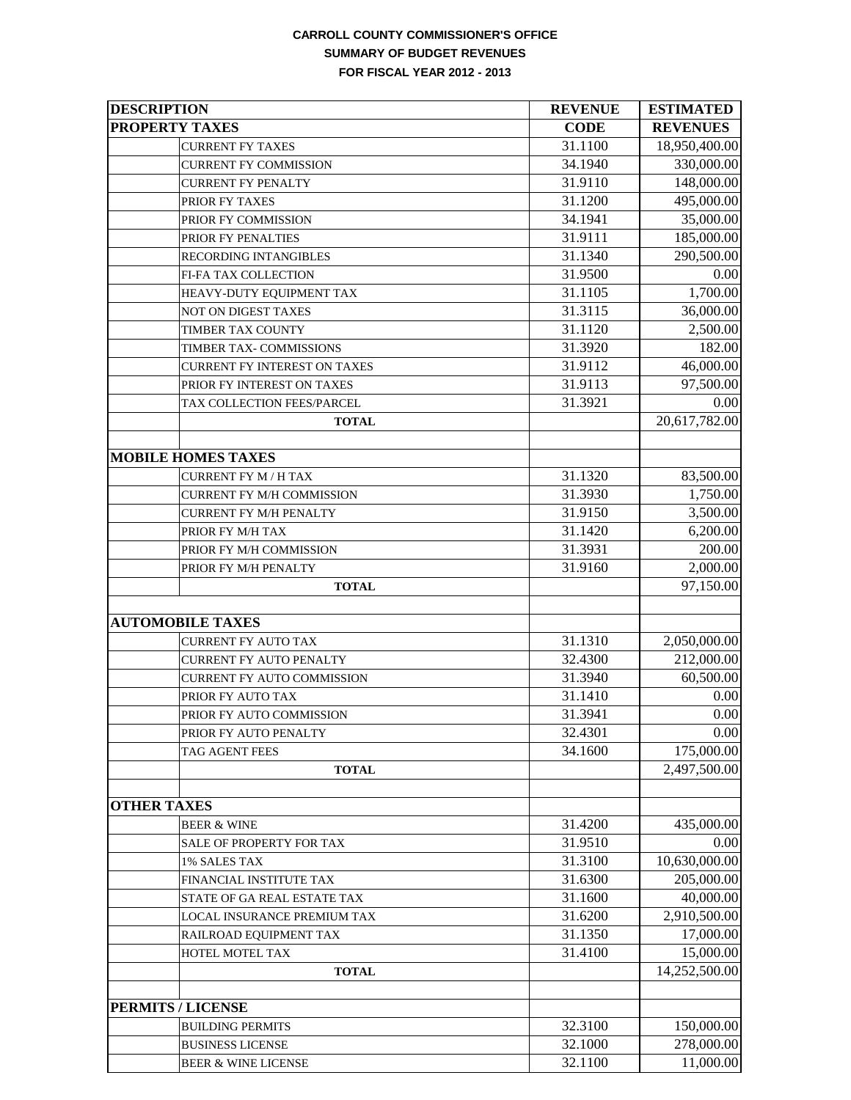### **CARROLL COUNTY COMMISSIONER'S OFFICE SUMMARY OF BUDGET REVENUES FOR FISCAL YEAR 2012 - 2013**

| <b>DESCRIPTION</b>               | <b>REVENUE</b> | <b>ESTIMATED</b> |
|----------------------------------|----------------|------------------|
| <b>PROPERTY TAXES</b>            | <b>CODE</b>    | <b>REVENUES</b>  |
| <b>CURRENT FY TAXES</b>          | 31.1100        | 18,950,400.00    |
| <b>CURRENT FY COMMISSION</b>     | 34.1940        | 330,000.00       |
| <b>CURRENT FY PENALTY</b>        | 31.9110        | 148,000.00       |
| PRIOR FY TAXES                   | 31.1200        | 495,000.00       |
| PRIOR FY COMMISSION              | 34.1941        | 35,000.00        |
| PRIOR FY PENALTIES               | 31.9111        | 185,000.00       |
| RECORDING INTANGIBLES            | 31.1340        | 290,500.00       |
| FI-FA TAX COLLECTION             | 31.9500        | 0.00             |
| HEAVY-DUTY EQUIPMENT TAX         | 31.1105        | 1,700.00         |
| NOT ON DIGEST TAXES              | 31.3115        | 36,000.00        |
| TIMBER TAX COUNTY                | 31.1120        | 2,500.00         |
| TIMBER TAX- COMMISSIONS          | 31.3920        | 182.00           |
| CURRENT FY INTEREST ON TAXES     | 31.9112        | 46,000.00        |
| PRIOR FY INTEREST ON TAXES       | 31.9113        | 97,500.00        |
| TAX COLLECTION FEES/PARCEL       | 31.3921        | 0.00             |
| <b>TOTAL</b>                     |                | 20,617,782.00    |
|                                  |                |                  |
| <b>MOBILE HOMES TAXES</b>        |                |                  |
| <b>CURRENT FY M / H TAX</b>      | 31.1320        | 83,500.00        |
| <b>CURRENT FY M/H COMMISSION</b> | 31.3930        | 1,750.00         |
| <b>CURRENT FY M/H PENALTY</b>    | 31.9150        | 3,500.00         |
| PRIOR FY M/H TAX                 | 31.1420        | 6,200.00         |
| PRIOR FY M/H COMMISSION          | 31.3931        | 200.00           |
| PRIOR FY M/H PENALTY             | 31.9160        | 2,000.00         |
| <b>TOTAL</b>                     |                | 97,150.00        |
|                                  |                |                  |
| <b>AUTOMOBILE TAXES</b>          |                |                  |
| <b>CURRENT FY AUTO TAX</b>       | 31.1310        | 2,050,000.00     |
| <b>CURRENT FY AUTO PENALTY</b>   | 32.4300        | 212,000.00       |
| CURRENT FY AUTO COMMISSION       | 31.3940        | 60,500.00        |
| PRIOR FY AUTO TAX                | 31.1410        | 0.00             |
| PRIOR FY AUTO COMMISSION         | 31.3941        | 0.00             |
| PRIOR FY AUTO PENALTY            | 32.4301        | 0.00             |
| TAG AGENT FEES                   | 34.1600        | 175,000.00       |
| <b>TOTAL</b>                     |                | 2,497,500.00     |
|                                  |                |                  |
| <b>OTHER TAXES</b>               |                |                  |
| <b>BEER &amp; WINE</b>           | 31.4200        | 435,000.00       |
| SALE OF PROPERTY FOR TAX         | 31.9510        | 0.00             |
| 1% SALES TAX                     | 31.3100        | 10,630,000.00    |
| FINANCIAL INSTITUTE TAX          | 31.6300        | 205,000.00       |
| STATE OF GA REAL ESTATE TAX      | 31.1600        | 40,000.00        |
| LOCAL INSURANCE PREMIUM TAX      | 31.6200        | 2,910,500.00     |
| RAILROAD EQUIPMENT TAX           | 31.1350        | 17,000.00        |
| HOTEL MOTEL TAX                  | 31.4100        | 15,000.00        |
| <b>TOTAL</b>                     |                | 14,252,500.00    |
|                                  |                |                  |
| <b>PERMITS / LICENSE</b>         |                |                  |
| <b>BUILDING PERMITS</b>          | 32.3100        | 150,000.00       |
| <b>BUSINESS LICENSE</b>          | 32.1000        | 278,000.00       |
| <b>BEER &amp; WINE LICENSE</b>   | 32.1100        | 11,000.00        |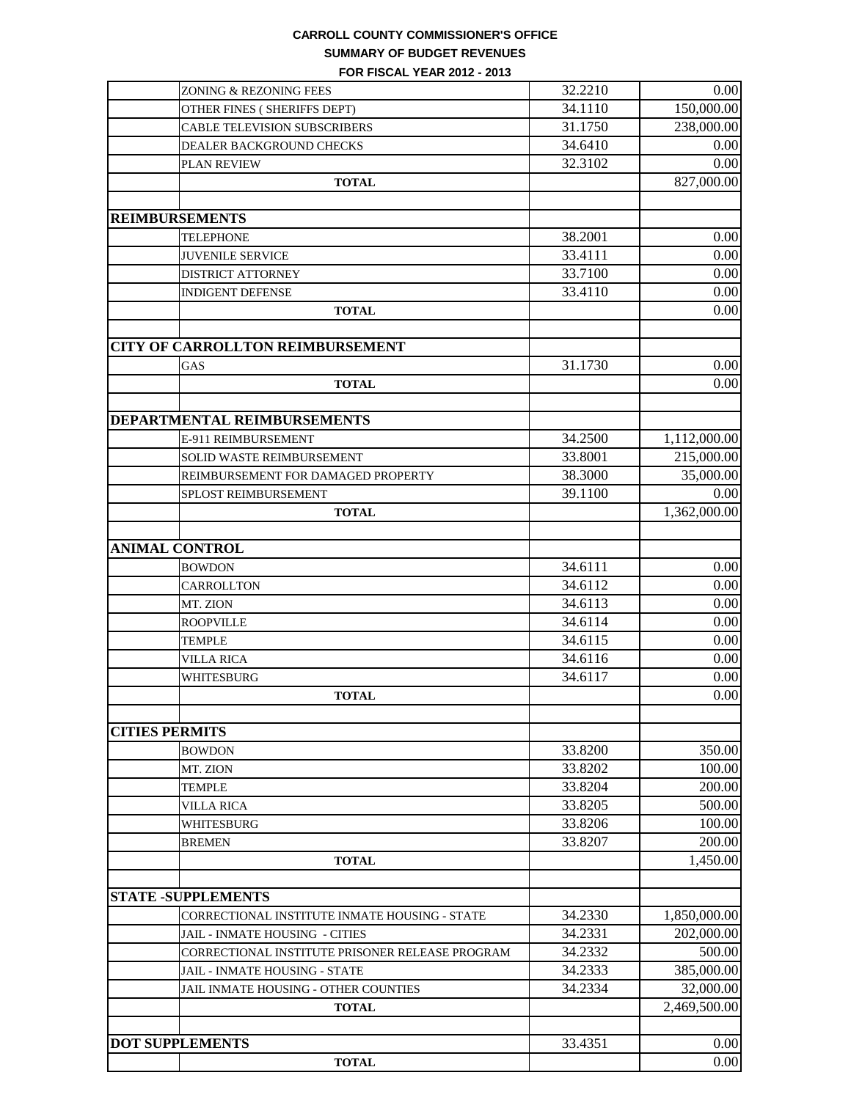## **CARROLL COUNTY COMMISSIONER'S OFFICE SUMMARY OF BUDGET REVENUES**

**FOR FISCAL YEAR 2012 - 2013**

|                        | ZONING & REZONING FEES                          | 32.2210 | 0.00         |
|------------------------|-------------------------------------------------|---------|--------------|
|                        | OTHER FINES (SHERIFFS DEPT)                     | 34.1110 | 150,000.00   |
|                        | <b>CABLE TELEVISION SUBSCRIBERS</b>             | 31.1750 | 238,000.00   |
|                        | DEALER BACKGROUND CHECKS                        | 34.6410 | 0.00         |
|                        | PLAN REVIEW                                     | 32.3102 | 0.00         |
|                        | <b>TOTAL</b>                                    |         | 827,000.00   |
|                        |                                                 |         |              |
| <b>REIMBURSEMENTS</b>  |                                                 |         |              |
|                        | <b>TELEPHONE</b>                                | 38.2001 | 0.00         |
|                        | <b>JUVENILE SERVICE</b>                         | 33.4111 | 0.00         |
|                        | <b>DISTRICT ATTORNEY</b>                        | 33.7100 | 0.00         |
|                        | <b>INDIGENT DEFENSE</b>                         | 33.4110 | 0.00         |
|                        | <b>TOTAL</b>                                    |         | 0.00         |
|                        | <b>CITY OF CARROLLTON REIMBURSEMENT</b>         |         |              |
|                        | GAS                                             | 31.1730 | 0.00         |
|                        | <b>TOTAL</b>                                    |         | 0.00         |
|                        |                                                 |         |              |
|                        | DEPARTMENTAL REIMBURSEMENTS                     |         |              |
|                        | E-911 REIMBURSEMENT                             | 34.2500 | 1,112,000.00 |
|                        | <b>SOLID WASTE REIMBURSEMENT</b>                | 33.8001 | 215,000.00   |
|                        | REIMBURSEMENT FOR DAMAGED PROPERTY              | 38.3000 | 35,000.00    |
|                        | SPLOST REIMBURSEMENT                            | 39.1100 | 0.00         |
|                        | <b>TOTAL</b>                                    |         | 1,362,000.00 |
|                        |                                                 |         |              |
| <b>ANIMAL CONTROL</b>  |                                                 |         |              |
|                        | <b>BOWDON</b>                                   | 34.6111 | 0.00         |
|                        | CARROLLTON                                      | 34.6112 | 0.00         |
|                        | MT. ZION                                        | 34.6113 | 0.00         |
|                        | <b>ROOPVILLE</b>                                | 34.6114 | 0.00         |
|                        | <b>TEMPLE</b>                                   | 34.6115 | 0.00         |
|                        | <b>VILLA RICA</b>                               | 34.6116 | 0.00         |
|                        | WHITESBURG                                      | 34.6117 | 0.00         |
|                        | <b>TOTAL</b>                                    |         | 0.00         |
|                        |                                                 |         |              |
| <b>CITIES PERMITS</b>  |                                                 |         |              |
|                        | <b>BOWDON</b>                                   | 33.8200 | 350.00       |
|                        | MT. ZION                                        | 33.8202 | 100.00       |
|                        | <b>TEMPLE</b>                                   | 33.8204 | 200.00       |
|                        | <b>VILLA RICA</b>                               | 33.8205 | 500.00       |
|                        | WHITESBURG                                      | 33.8206 | 100.00       |
|                        | <b>BREMEN</b>                                   | 33.8207 | 200.00       |
|                        | <b>TOTAL</b>                                    |         | 1,450.00     |
|                        |                                                 |         |              |
|                        | <b>STATE -SUPPLEMENTS</b>                       |         |              |
|                        | CORRECTIONAL INSTITUTE INMATE HOUSING - STATE   | 34.2330 | 1,850,000.00 |
|                        | JAIL - INMATE HOUSING - CITIES                  | 34.2331 | 202,000.00   |
|                        | CORRECTIONAL INSTITUTE PRISONER RELEASE PROGRAM | 34.2332 | 500.00       |
|                        | <b>JAIL - INMATE HOUSING - STATE</b>            | 34.2333 | 385,000.00   |
|                        | JAIL INMATE HOUSING - OTHER COUNTIES            | 34.2334 | 32,000.00    |
|                        | <b>TOTAL</b>                                    |         | 2,469,500.00 |
|                        |                                                 |         |              |
| <b>DOT SUPPLEMENTS</b> |                                                 | 33.4351 | 0.00         |
|                        | <b>TOTAL</b>                                    |         | 0.00         |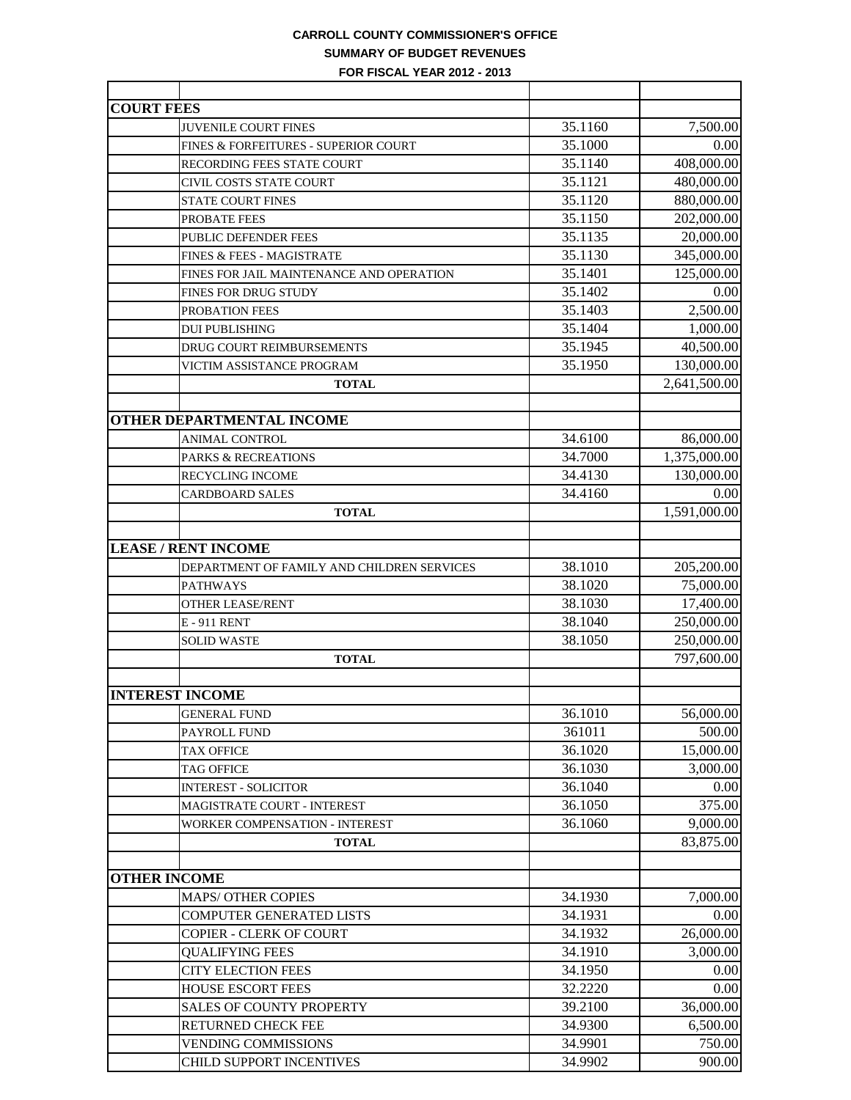# **CARROLL COUNTY COMMISSIONER'S OFFICE SUMMARY OF BUDGET REVENUES**

**FOR FISCAL YEAR 2012 - 2013**

| <b>COURT FEES</b>                          |         |              |
|--------------------------------------------|---------|--------------|
| <b>JUVENILE COURT FINES</b>                | 35.1160 | 7,500.00     |
| FINES & FORFEITURES - SUPERIOR COURT       | 35.1000 | 0.00         |
| <b>RECORDING FEES STATE COURT</b>          | 35.1140 | 408,000.00   |
| CIVIL COSTS STATE COURT                    | 35.1121 | 480,000.00   |
| <b>STATE COURT FINES</b>                   | 35.1120 | 880,000.00   |
| PROBATE FEES                               | 35.1150 | 202,000.00   |
| PUBLIC DEFENDER FEES                       | 35.1135 | 20,000.00    |
| FINES & FEES - MAGISTRATE                  | 35.1130 | 345,000.00   |
| FINES FOR JAIL MAINTENANCE AND OPERATION   | 35.1401 | 125,000.00   |
| FINES FOR DRUG STUDY                       | 35.1402 | 0.00         |
| PROBATION FEES                             | 35.1403 | 2,500.00     |
| <b>DUI PUBLISHING</b>                      | 35.1404 | 1,000.00     |
| DRUG COURT REIMBURSEMENTS                  | 35.1945 | 40,500.00    |
| VICTIM ASSISTANCE PROGRAM                  | 35.1950 | 130,000.00   |
| <b>TOTAL</b>                               |         | 2,641,500.00 |
|                                            |         |              |
| <b>OTHER DEPARTMENTAL INCOME</b>           |         |              |
| <b>ANIMAL CONTROL</b>                      | 34.6100 | 86,000.00    |
| PARKS & RECREATIONS                        | 34.7000 | 1,375,000.00 |
| RECYCLING INCOME                           | 34.4130 | 130,000.00   |
| <b>CARDBOARD SALES</b>                     | 34.4160 | 0.00         |
| <b>TOTAL</b>                               |         | 1,591,000.00 |
|                                            |         |              |
| <b>LEASE / RENT INCOME</b>                 |         |              |
| DEPARTMENT OF FAMILY AND CHILDREN SERVICES | 38.1010 | 205,200.00   |
| <b>PATHWAYS</b>                            | 38.1020 | 75,000.00    |
| <b>OTHER LEASE/RENT</b>                    | 38.1030 | 17,400.00    |
| E-911 RENT                                 | 38.1040 | 250,000.00   |
| <b>SOLID WASTE</b>                         | 38.1050 | 250,000.00   |
| <b>TOTAL</b>                               |         | 797,600.00   |
|                                            |         |              |
| <b>INTEREST INCOME</b>                     |         |              |
| <b>GENERAL FUND</b>                        | 36.1010 | 56,000.00    |
| PAYROLL FUND                               | 361011  | 500.00       |
| <b>TAX OFFICE</b>                          | 36.1020 | 15,000.00    |
| <b>TAG OFFICE</b>                          | 36.1030 | 3,000.00     |
| <b>INTEREST - SOLICITOR</b>                | 36.1040 | 0.00         |
| <b>MAGISTRATE COURT - INTEREST</b>         | 36.1050 | 375.00       |
| <b>WORKER COMPENSATION - INTEREST</b>      | 36.1060 | 9,000.00     |
| <b>TOTAL</b>                               |         | 83,875.00    |
|                                            |         |              |
| <b>OTHER INCOME</b>                        |         |              |
| <b>MAPS/ OTHER COPIES</b>                  | 34.1930 | 7,000.00     |
| COMPUTER GENERATED LISTS                   | 34.1931 | 0.00         |
| <b>COPIER - CLERK OF COURT</b>             | 34.1932 | 26,000.00    |
| <b>QUALIFYING FEES</b>                     | 34.1910 | 3,000.00     |
| <b>CITY ELECTION FEES</b>                  | 34.1950 | 0.00         |
| <b>HOUSE ESCORT FEES</b>                   | 32.2220 | 0.00         |
| <b>SALES OF COUNTY PROPERTY</b>            | 39.2100 | 36,000.00    |
| RETURNED CHECK FEE                         | 34.9300 | 6,500.00     |
| <b>VENDING COMMISSIONS</b>                 | 34.9901 | 750.00       |
| CHILD SUPPORT INCENTIVES                   | 34.9902 | 900.00       |